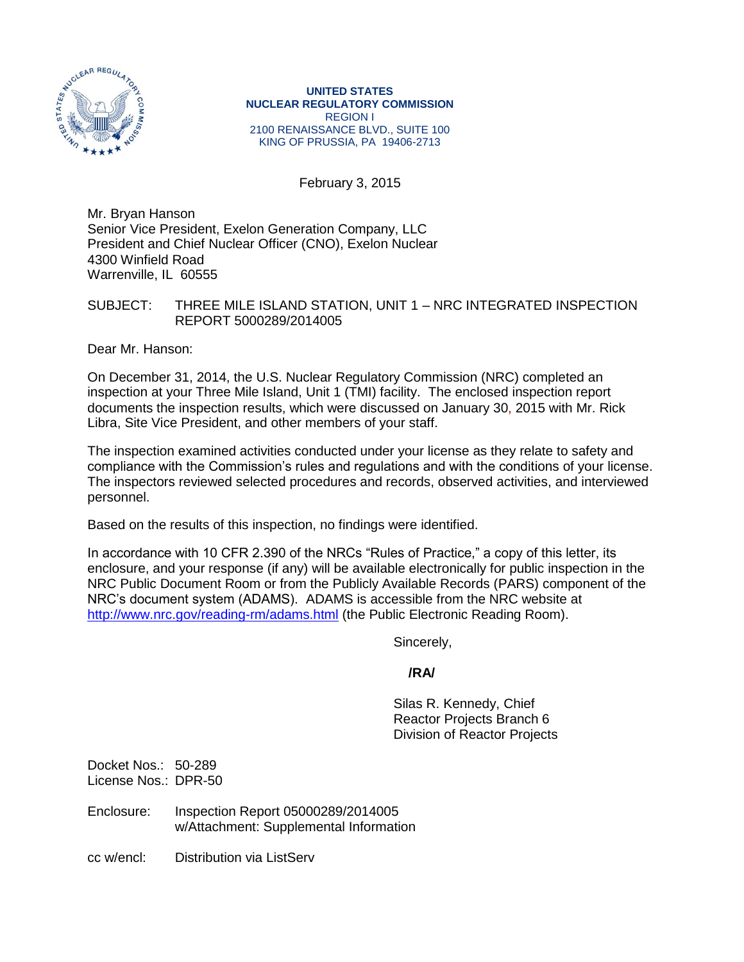

**UNITED STATES NUCLEAR REGULATORY COMMISSION** REGION I 2100 RENAISSANCE BLVD., SUITE 100 KING OF PRUSSIA, PA 19406-2713

February 3, 2015

Mr. Bryan Hanson Senior Vice President, Exelon Generation Company, LLC President and Chief Nuclear Officer (CNO), Exelon Nuclear 4300 Winfield Road Warrenville, IL 60555

## SUBJECT: THREE MILE ISLAND STATION, UNIT 1 – NRC INTEGRATED INSPECTION REPORT 5000289/2014005

Dear Mr. Hanson:

On December 31, 2014, the U.S. Nuclear Regulatory Commission (NRC) completed an inspection at your Three Mile Island, Unit 1 (TMI) facility. The enclosed inspection report documents the inspection results, which were discussed on January 30, 2015 with Mr. Rick Libra, Site Vice President, and other members of your staff.

The inspection examined activities conducted under your license as they relate to safety and compliance with the Commission's rules and regulations and with the conditions of your license. The inspectors reviewed selected procedures and records, observed activities, and interviewed personnel.

Based on the results of this inspection, no findings were identified.

In accordance with 10 CFR 2.390 of the NRCs "Rules of Practice," a copy of this letter, its enclosure, and your response (if any) will be available electronically for public inspection in the NRC Public Document Room or from the Publicly Available Records (PARS) component of the NRC's document system (ADAMS). ADAMS is accessible from the NRC website at <http://www.nrc.gov/reading-rm/adams.html> (the Public Electronic Reading Room).

Sincerely,

# **/RA/**

Silas R. Kennedy, Chief Reactor Projects Branch 6 Division of Reactor Projects

Docket Nos.: 50-289 License Nos.: DPR-50

- Enclosure: Inspection Report 05000289/2014005 w/Attachment: Supplemental Information
- cc w/encl: Distribution via ListServ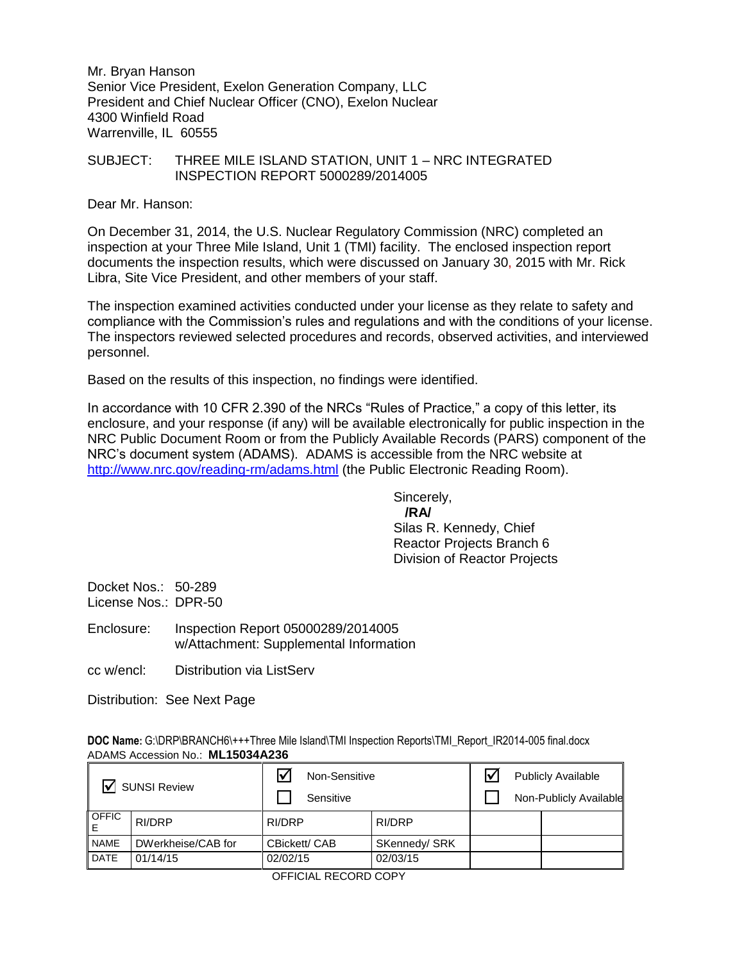Mr. Bryan Hanson Senior Vice President, Exelon Generation Company, LLC President and Chief Nuclear Officer (CNO), Exelon Nuclear 4300 Winfield Road Warrenville, IL 60555

### SUBJECT: THREE MILE ISLAND STATION, UNIT 1 – NRC INTEGRATED INSPECTION REPORT 5000289/2014005

Dear Mr. Hanson:

On December 31, 2014, the U.S. Nuclear Regulatory Commission (NRC) completed an inspection at your Three Mile Island, Unit 1 (TMI) facility. The enclosed inspection report documents the inspection results, which were discussed on January 30, 2015 with Mr. Rick Libra, Site Vice President, and other members of your staff.

The inspection examined activities conducted under your license as they relate to safety and compliance with the Commission's rules and regulations and with the conditions of your license. The inspectors reviewed selected procedures and records, observed activities, and interviewed personnel.

Based on the results of this inspection, no findings were identified.

In accordance with 10 CFR 2.390 of the NRCs "Rules of Practice," a copy of this letter, its enclosure, and your response (if any) will be available electronically for public inspection in the NRC Public Document Room or from the Publicly Available Records (PARS) component of the NRC's document system (ADAMS). ADAMS is accessible from the NRC website at <http://www.nrc.gov/reading-rm/adams.html> (the Public Electronic Reading Room).

Sincerely,

 **/RA/** Silas R. Kennedy, Chief Reactor Projects Branch 6 Division of Reactor Projects

Docket Nos.: 50-289 License Nos.: DPR-50

Enclosure: Inspection Report 05000289/2014005 w/Attachment: Supplemental Information

cc w/encl: Distribution via ListServ

Distribution: See Next Page

**DOC Name: G:\DRP\BRANCH6\+++Three Mile Island\TMI Inspection Reports\TMI\_Report\_IR2014-005 final.docx** ADAMS Accession No.: **ML15034A236** 

| <b>SUNSI Review</b> |                    | Non-Sensitive<br>Sensitive |               | <b>Publicly Available</b><br>Non-Publicly Available |
|---------------------|--------------------|----------------------------|---------------|-----------------------------------------------------|
| <b>OFFIC</b>        | RI/DRP             | RI/DRP                     | RI/DRP        |                                                     |
| <b>NAME</b>         | DWerkheise/CAB for | CBickett/ CAB              | SKennedy/ SRK |                                                     |
| <b>DATE</b>         | 01/14/15           | 02/02/15                   | 02/03/15      |                                                     |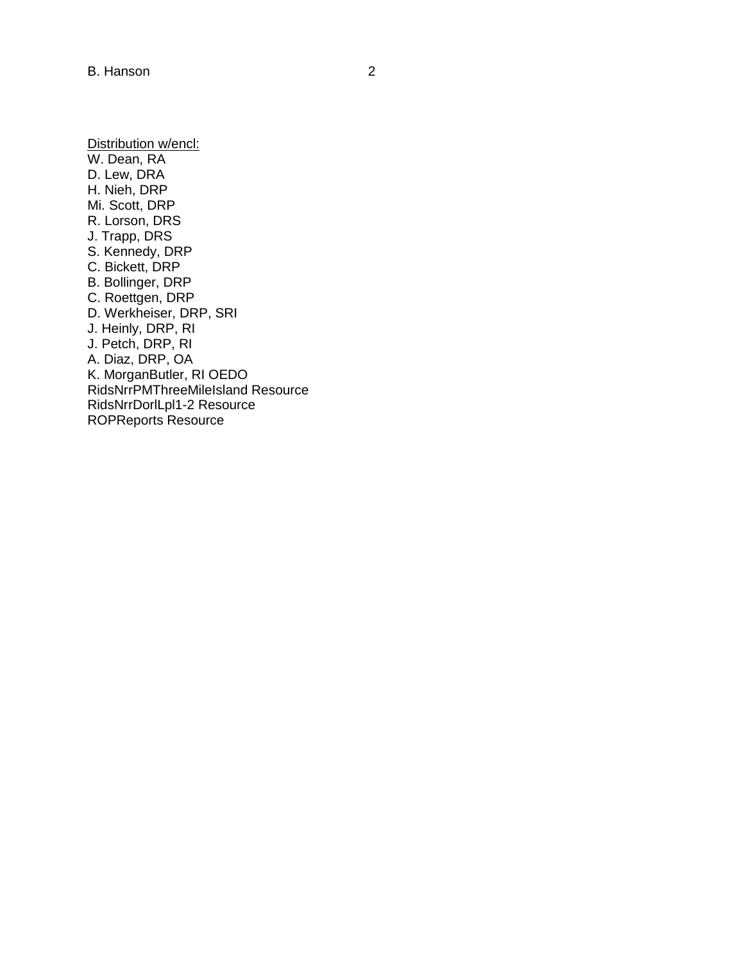Distribution w/encl: W. Dean, RA D. Lew, DRA H. Nieh, DRP Mi. Scott, DRP R. Lorson, DRS J. Trapp, DRS S. Kennedy, DRP C. Bickett, DRP B. Bollinger, DRP C. Roettgen, DRP D. Werkheiser, DRP, SRI J. Heinly, DRP, RI J. Petch, DRP, RI A. Diaz, DRP, OA K. MorganButler, RI OEDO RidsNrrPMThreeMileIsland Resource RidsNrrDorlLpl1-2 Resource ROPReports Resource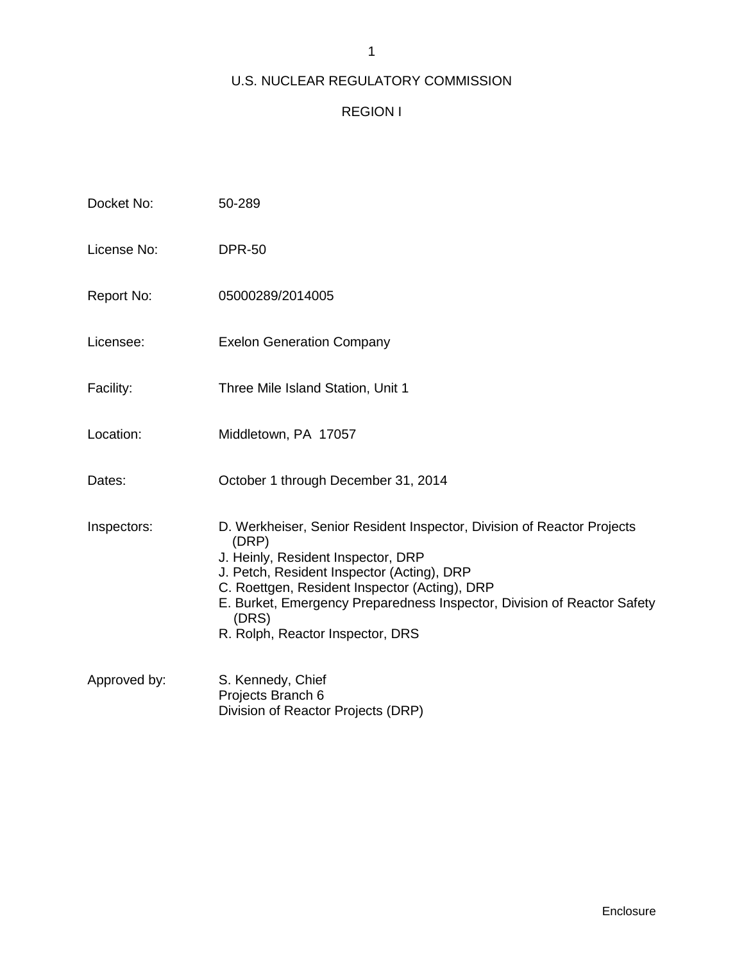# 1

# U.S. NUCLEAR REGULATORY COMMISSION

# REGION I

| Docket No:   | 50-289                                                                                                                                                                                                                                                                                                                                       |
|--------------|----------------------------------------------------------------------------------------------------------------------------------------------------------------------------------------------------------------------------------------------------------------------------------------------------------------------------------------------|
| License No:  | <b>DPR-50</b>                                                                                                                                                                                                                                                                                                                                |
| Report No:   | 05000289/2014005                                                                                                                                                                                                                                                                                                                             |
| Licensee:    | <b>Exelon Generation Company</b>                                                                                                                                                                                                                                                                                                             |
| Facility:    | Three Mile Island Station, Unit 1                                                                                                                                                                                                                                                                                                            |
| Location:    | Middletown, PA 17057                                                                                                                                                                                                                                                                                                                         |
| Dates:       | October 1 through December 31, 2014                                                                                                                                                                                                                                                                                                          |
| Inspectors:  | D. Werkheiser, Senior Resident Inspector, Division of Reactor Projects<br>(DRP)<br>J. Heinly, Resident Inspector, DRP<br>J. Petch, Resident Inspector (Acting), DRP<br>C. Roettgen, Resident Inspector (Acting), DRP<br>E. Burket, Emergency Preparedness Inspector, Division of Reactor Safety<br>(DRS)<br>R. Rolph, Reactor Inspector, DRS |
| Approved by: | S. Kennedy, Chief<br>Projects Branch 6<br>Division of Reactor Projects (DRP)                                                                                                                                                                                                                                                                 |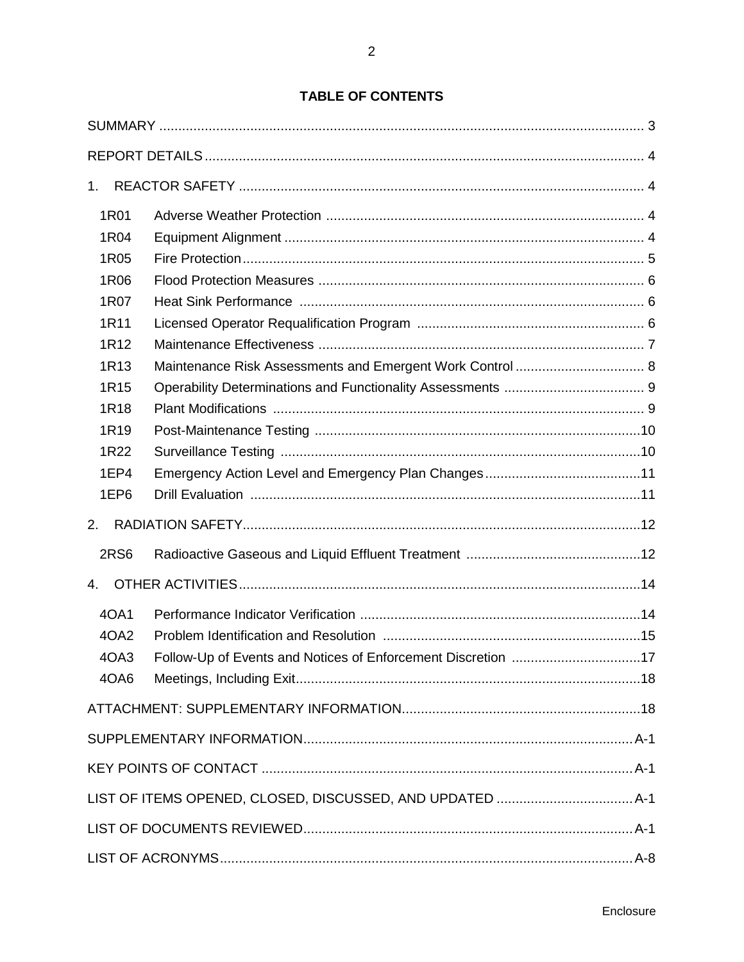| 1.               |                                                              |  |
|------------------|--------------------------------------------------------------|--|
| 1R01             |                                                              |  |
| 1R04             |                                                              |  |
| 1R05             |                                                              |  |
| 1R06             |                                                              |  |
| 1R07             |                                                              |  |
| 1R11             |                                                              |  |
| 1R <sub>12</sub> |                                                              |  |
| 1R <sub>13</sub> |                                                              |  |
| 1R <sub>15</sub> |                                                              |  |
| 1R <sub>18</sub> |                                                              |  |
| 1R <sub>19</sub> |                                                              |  |
| 1R22             |                                                              |  |
| 1EP4             |                                                              |  |
| 1EP6             |                                                              |  |
| 2.               |                                                              |  |
| <b>2RS6</b>      |                                                              |  |
| $\mathbf{4}$ .   |                                                              |  |
| 40A1             |                                                              |  |
| 4OA2             |                                                              |  |
| 4OA3             | Follow-Up of Events and Notices of Enforcement Discretion 17 |  |
| 4OA6             |                                                              |  |
|                  |                                                              |  |
|                  |                                                              |  |
|                  |                                                              |  |
|                  |                                                              |  |
|                  |                                                              |  |
|                  |                                                              |  |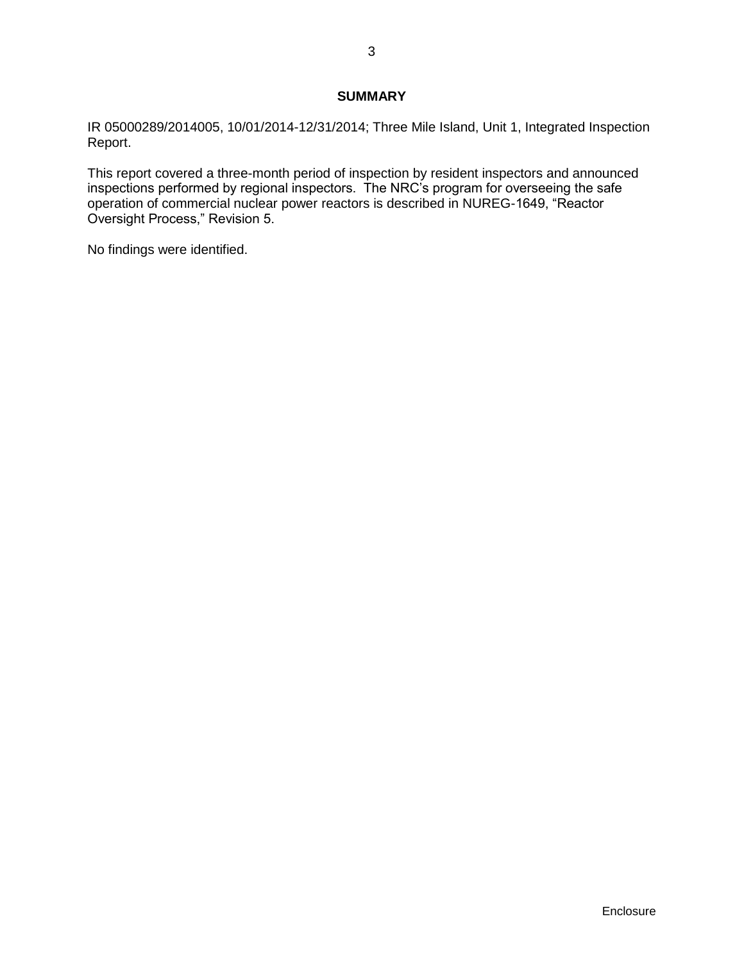## **SUMMARY**

<span id="page-5-0"></span>IR 05000289/2014005, 10/01/2014-12/31/2014; Three Mile Island, Unit 1, Integrated Inspection Report.

This report covered a three-month period of inspection by resident inspectors and announced inspections performed by regional inspectors. The NRC's program for overseeing the safe operation of commercial nuclear power reactors is described in NUREG-1649, "Reactor Oversight Process," Revision 5.

No findings were identified.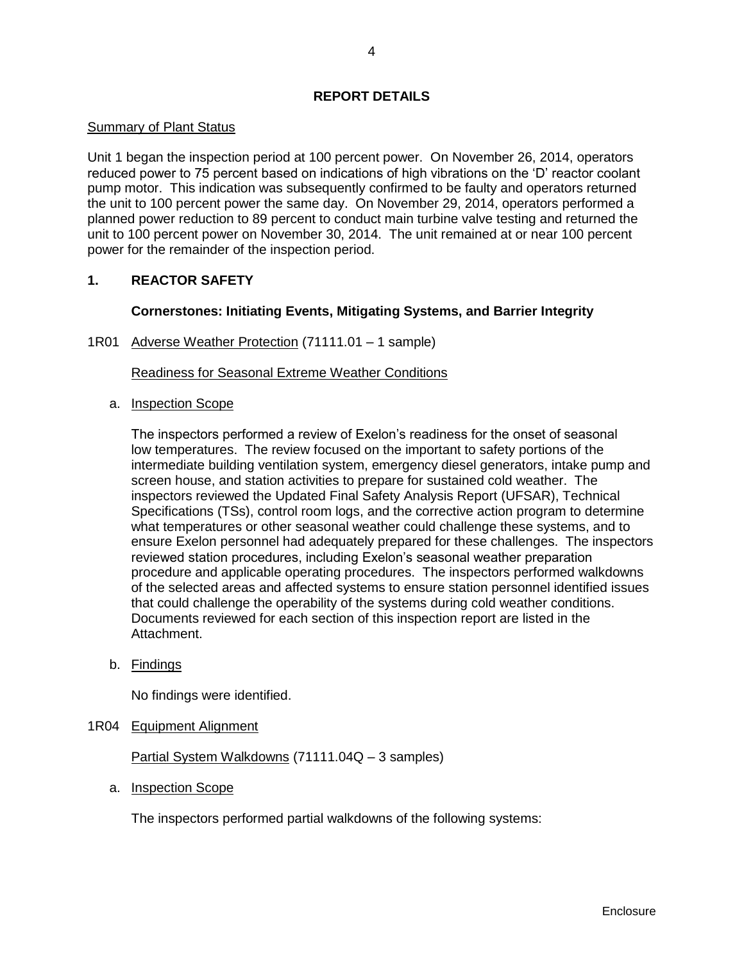## **REPORT DETAILS**

## <span id="page-6-0"></span>Summary of Plant Status

Unit 1 began the inspection period at 100 percent power. On November 26, 2014, operators reduced power to 75 percent based on indications of high vibrations on the 'D' reactor coolant pump motor. This indication was subsequently confirmed to be faulty and operators returned the unit to 100 percent power the same day. On November 29, 2014, operators performed a planned power reduction to 89 percent to conduct main turbine valve testing and returned the unit to 100 percent power on November 30, 2014. The unit remained at or near 100 percent power for the remainder of the inspection period.

## <span id="page-6-1"></span>**1. REACTOR SAFETY**

## **Cornerstones: Initiating Events, Mitigating Systems, and Barrier Integrity**

## <span id="page-6-2"></span>1R01 Adverse Weather Protection (71111.01 – 1 sample)

## Readiness for Seasonal Extreme Weather Conditions

a. Inspection Scope

The inspectors performed a review of Exelon's readiness for the onset of seasonal low temperatures. The review focused on the important to safety portions of the intermediate building ventilation system, emergency diesel generators, intake pump and screen house, and station activities to prepare for sustained cold weather. The inspectors reviewed the Updated Final Safety Analysis Report (UFSAR), Technical Specifications (TSs), control room logs, and the corrective action program to determine what temperatures or other seasonal weather could challenge these systems, and to ensure Exelon personnel had adequately prepared for these challenges. The inspectors reviewed station procedures, including Exelon's seasonal weather preparation procedure and applicable operating procedures. The inspectors performed walkdowns of the selected areas and affected systems to ensure station personnel identified issues that could challenge the operability of the systems during cold weather conditions. Documents reviewed for each section of this inspection report are listed in the Attachment.

b. Findings

No findings were identified.

<span id="page-6-3"></span>1R04 Equipment Alignment

Partial System Walkdowns (71111.04Q – 3 samples)

a. Inspection Scope

The inspectors performed partial walkdowns of the following systems: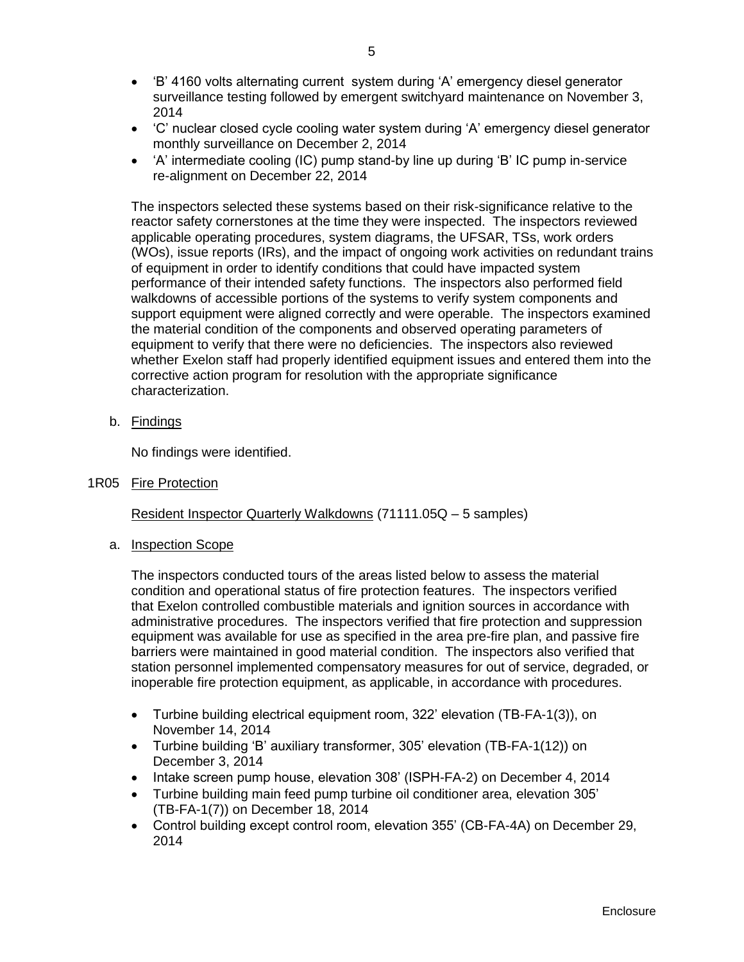- 'B' 4160 volts alternating current system during 'A' emergency diesel generator surveillance testing followed by emergent switchyard maintenance on November 3, 2014
- 'C' nuclear closed cycle cooling water system during 'A' emergency diesel generator monthly surveillance on December 2, 2014
- 'A' intermediate cooling (IC) pump stand-by line up during 'B' IC pump in-service re-alignment on December 22, 2014

The inspectors selected these systems based on their risk-significance relative to the reactor safety cornerstones at the time they were inspected. The inspectors reviewed applicable operating procedures, system diagrams, the UFSAR, TSs, work orders (WOs), issue reports (IRs), and the impact of ongoing work activities on redundant trains of equipment in order to identify conditions that could have impacted system performance of their intended safety functions. The inspectors also performed field walkdowns of accessible portions of the systems to verify system components and support equipment were aligned correctly and were operable. The inspectors examined the material condition of the components and observed operating parameters of equipment to verify that there were no deficiencies. The inspectors also reviewed whether Exelon staff had properly identified equipment issues and entered them into the corrective action program for resolution with the appropriate significance characterization.

b. Findings

No findings were identified.

<span id="page-7-0"></span>1R05 Fire Protection

Resident Inspector Quarterly Walkdowns (71111.05Q – 5 samples)

a. Inspection Scope

The inspectors conducted tours of the areas listed below to assess the material condition and operational status of fire protection features. The inspectors verified that Exelon controlled combustible materials and ignition sources in accordance with administrative procedures. The inspectors verified that fire protection and suppression equipment was available for use as specified in the area pre-fire plan, and passive fire barriers were maintained in good material condition. The inspectors also verified that station personnel implemented compensatory measures for out of service, degraded, or inoperable fire protection equipment, as applicable, in accordance with procedures.

- Turbine building electrical equipment room, 322' elevation (TB-FA-1(3)), on November 14, 2014
- Turbine building 'B' auxiliary transformer, 305' elevation (TB-FA-1(12)) on December 3, 2014
- Intake screen pump house, elevation 308' (ISPH-FA-2) on December 4, 2014
- Turbine building main feed pump turbine oil conditioner area, elevation 305' (TB-FA-1(7)) on December 18, 2014
- Control building except control room, elevation 355' (CB-FA-4A) on December 29, 2014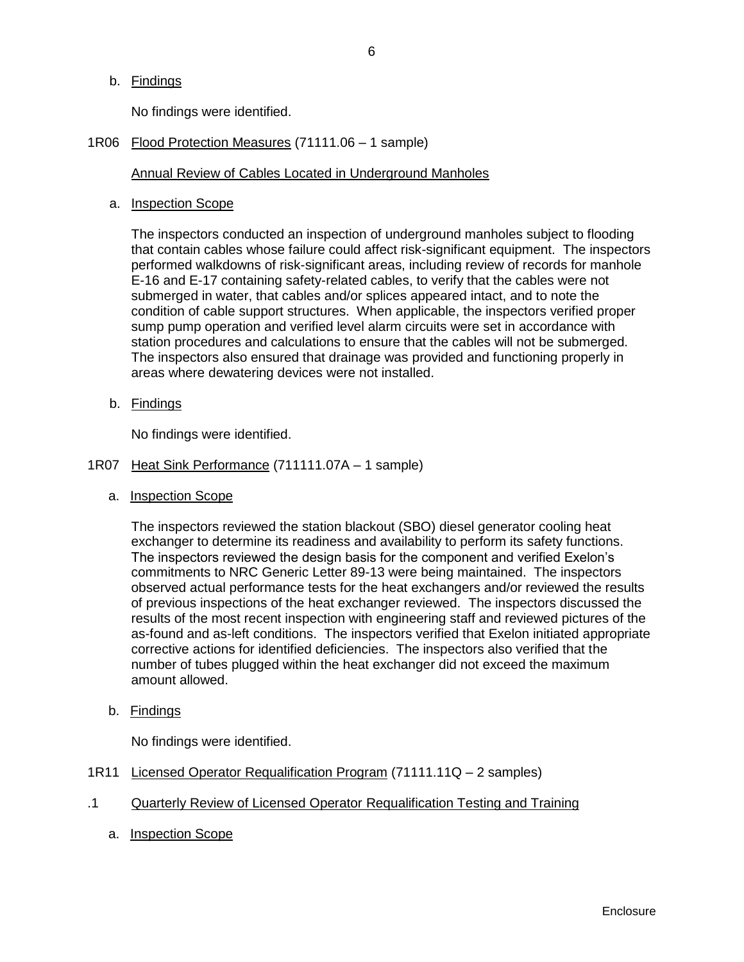b. Findings

No findings were identified.

<span id="page-8-0"></span>1R06 Flood Protection Measures (71111.06 – 1 sample)

## Annual Review of Cables Located in Underground Manholes

a. Inspection Scope

The inspectors conducted an inspection of underground manholes subject to flooding that contain cables whose failure could affect risk-significant equipment. The inspectors performed walkdowns of risk-significant areas, including review of records for manhole E-16 and E-17 containing safety-related cables, to verify that the cables were not submerged in water, that cables and/or splices appeared intact, and to note the condition of cable support structures. When applicable, the inspectors verified proper sump pump operation and verified level alarm circuits were set in accordance with station procedures and calculations to ensure that the cables will not be submerged. The inspectors also ensured that drainage was provided and functioning properly in areas where dewatering devices were not installed.

b. Findings

No findings were identified.

- <span id="page-8-1"></span>1R07 Heat Sink Performance (711111.07A – 1 sample)
	- a. Inspection Scope

The inspectors reviewed the station blackout (SBO) diesel generator cooling heat exchanger to determine its readiness and availability to perform its safety functions. The inspectors reviewed the design basis for the component and verified Exelon's commitments to NRC Generic Letter 89-13 were being maintained. The inspectors observed actual performance tests for the heat exchangers and/or reviewed the results of previous inspections of the heat exchanger reviewed. The inspectors discussed the results of the most recent inspection with engineering staff and reviewed pictures of the as-found and as-left conditions. The inspectors verified that Exelon initiated appropriate corrective actions for identified deficiencies. The inspectors also verified that the number of tubes plugged within the heat exchanger did not exceed the maximum amount allowed.

b. Findings

No findings were identified.

- <span id="page-8-2"></span>1R11 Licensed Operator Requalification Program (71111.11Q – 2 samples)
- .1 Quarterly Review of Licensed Operator Requalification Testing and Training
	- a. Inspection Scope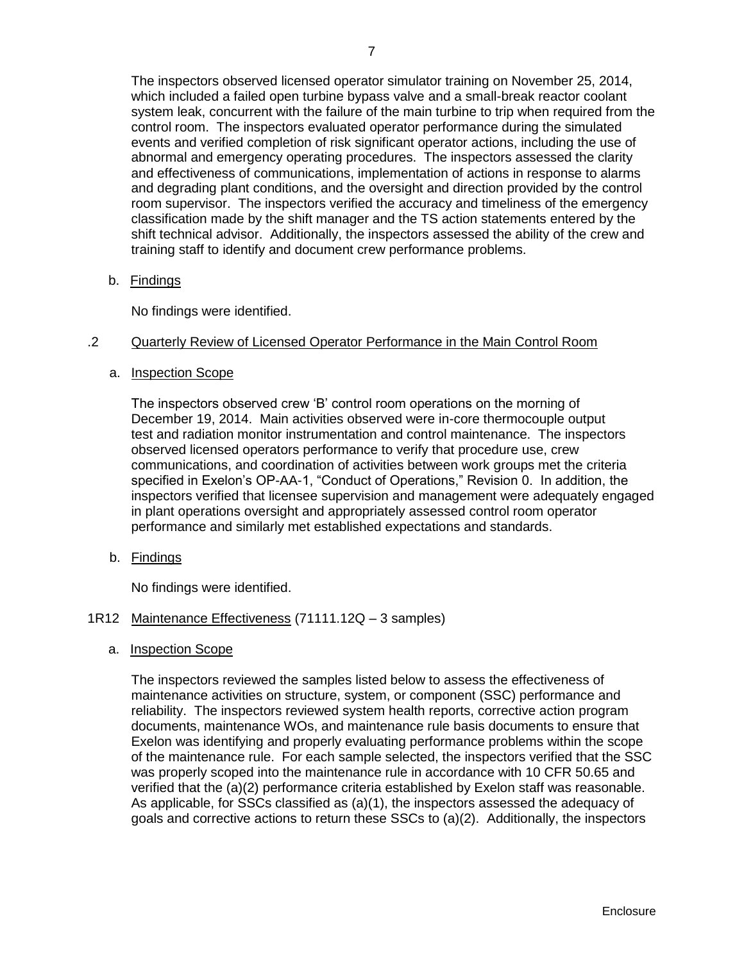The inspectors observed licensed operator simulator training on November 25, 2014, which included a failed open turbine bypass valve and a small-break reactor coolant system leak, concurrent with the failure of the main turbine to trip when required from the control room. The inspectors evaluated operator performance during the simulated events and verified completion of risk significant operator actions, including the use of abnormal and emergency operating procedures. The inspectors assessed the clarity and effectiveness of communications, implementation of actions in response to alarms and degrading plant conditions, and the oversight and direction provided by the control room supervisor. The inspectors verified the accuracy and timeliness of the emergency classification made by the shift manager and the TS action statements entered by the shift technical advisor. Additionally, the inspectors assessed the ability of the crew and training staff to identify and document crew performance problems.

b. Findings

No findings were identified.

## .2 Quarterly Review of Licensed Operator Performance in the Main Control Room

a. Inspection Scope

The inspectors observed crew 'B' control room operations on the morning of December 19, 2014. Main activities observed were in-core thermocouple output test and radiation monitor instrumentation and control maintenance. The inspectors observed licensed operators performance to verify that procedure use, crew communications, and coordination of activities between work groups met the criteria specified in Exelon's OP-AA-1, "Conduct of Operations," Revision 0. In addition, the inspectors verified that licensee supervision and management were adequately engaged in plant operations oversight and appropriately assessed control room operator performance and similarly met established expectations and standards.

b. Findings

No findings were identified.

- <span id="page-9-0"></span>1R12 Maintenance Effectiveness (71111.12Q – 3 samples)
	- a. Inspection Scope

The inspectors reviewed the samples listed below to assess the effectiveness of maintenance activities on structure, system, or component (SSC) performance and reliability. The inspectors reviewed system health reports, corrective action program documents, maintenance WOs, and maintenance rule basis documents to ensure that Exelon was identifying and properly evaluating performance problems within the scope of the maintenance rule. For each sample selected, the inspectors verified that the SSC was properly scoped into the maintenance rule in accordance with 10 CFR 50.65 and verified that the (a)(2) performance criteria established by Exelon staff was reasonable. As applicable, for SSCs classified as (a)(1), the inspectors assessed the adequacy of goals and corrective actions to return these SSCs to (a)(2). Additionally, the inspectors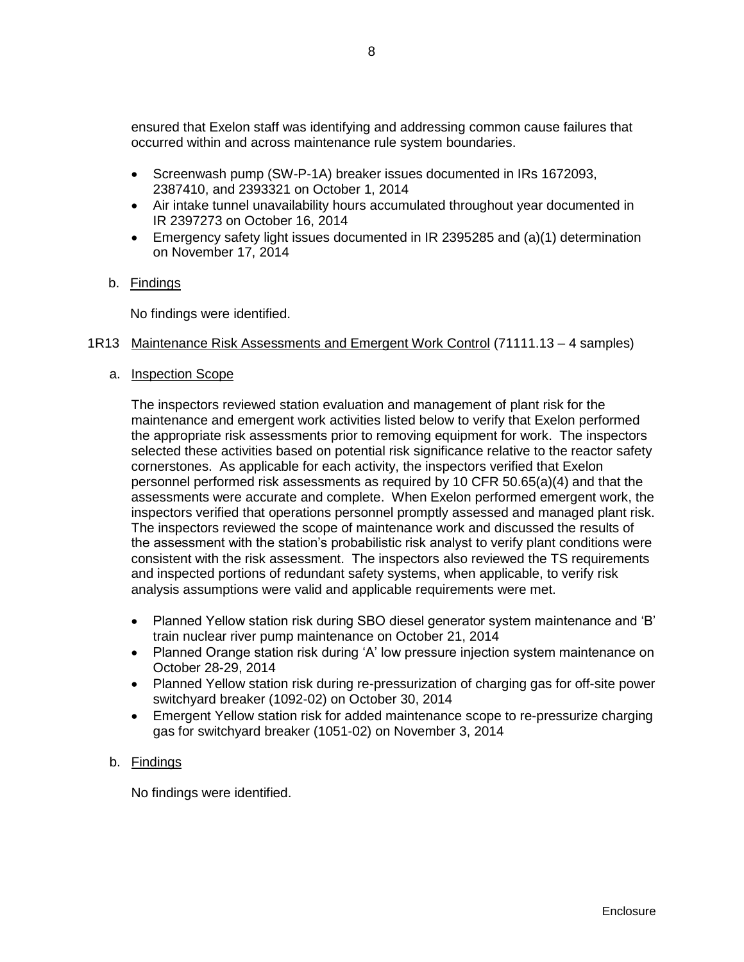ensured that Exelon staff was identifying and addressing common cause failures that occurred within and across maintenance rule system boundaries.

- Screenwash pump (SW-P-1A) breaker issues documented in IRs 1672093, 2387410, and 2393321 on October 1, 2014
- Air intake tunnel unavailability hours accumulated throughout year documented in IR 2397273 on October 16, 2014
- Emergency safety light issues documented in IR 2395285 and (a)(1) determination on November 17, 2014

## b. Findings

No findings were identified.

## <span id="page-10-0"></span>1R13 Maintenance Risk Assessments and Emergent Work Control (71111.13 – 4 samples)

## a. Inspection Scope

The inspectors reviewed station evaluation and management of plant risk for the maintenance and emergent work activities listed below to verify that Exelon performed the appropriate risk assessments prior to removing equipment for work. The inspectors selected these activities based on potential risk significance relative to the reactor safety cornerstones. As applicable for each activity, the inspectors verified that Exelon personnel performed risk assessments as required by 10 CFR 50.65(a)(4) and that the assessments were accurate and complete. When Exelon performed emergent work, the inspectors verified that operations personnel promptly assessed and managed plant risk. The inspectors reviewed the scope of maintenance work and discussed the results of the assessment with the station's probabilistic risk analyst to verify plant conditions were consistent with the risk assessment. The inspectors also reviewed the TS requirements and inspected portions of redundant safety systems, when applicable, to verify risk analysis assumptions were valid and applicable requirements were met.

- Planned Yellow station risk during SBO diesel generator system maintenance and 'B' train nuclear river pump maintenance on October 21, 2014
- Planned Orange station risk during 'A' low pressure injection system maintenance on October 28-29, 2014
- Planned Yellow station risk during re-pressurization of charging gas for off-site power switchyard breaker (1092-02) on October 30, 2014
- Emergent Yellow station risk for added maintenance scope to re-pressurize charging gas for switchyard breaker (1051-02) on November 3, 2014

## b. Findings

<span id="page-10-1"></span>No findings were identified.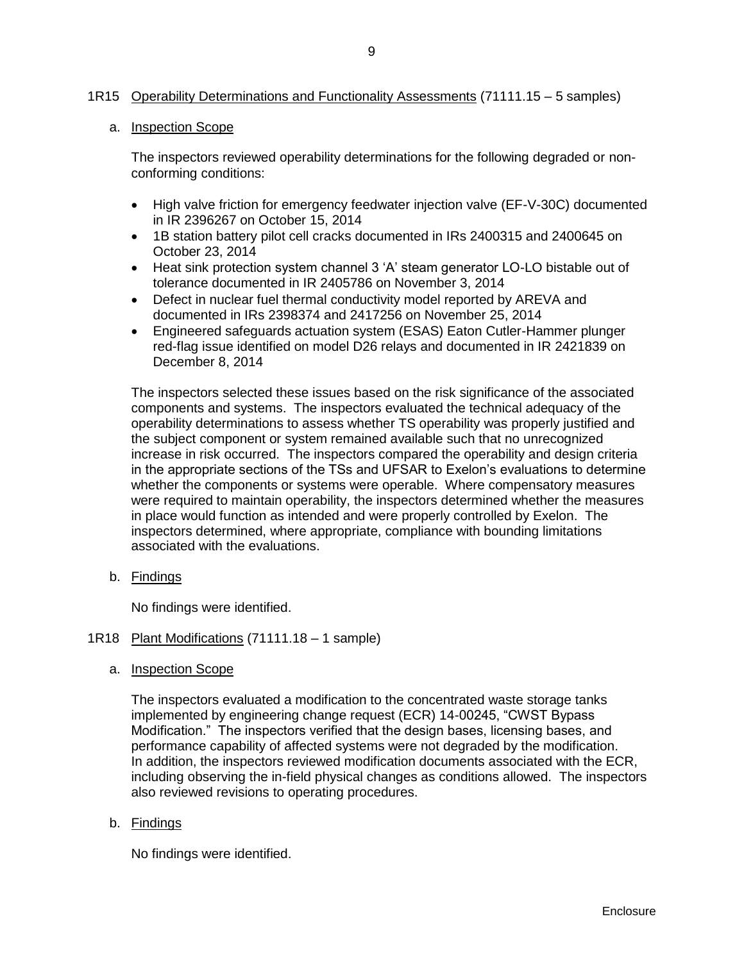## 1R15 Operability Determinations and Functionality Assessments (71111.15 – 5 samples)

## a. Inspection Scope

The inspectors reviewed operability determinations for the following degraded or nonconforming conditions:

- High valve friction for emergency feedwater injection valve (EF-V-30C) documented in IR 2396267 on October 15, 2014
- 1B station battery pilot cell cracks documented in IRs 2400315 and 2400645 on October 23, 2014
- Heat sink protection system channel 3 'A' steam generator LO-LO bistable out of tolerance documented in IR 2405786 on November 3, 2014
- Defect in nuclear fuel thermal conductivity model reported by AREVA and documented in IRs 2398374 and 2417256 on November 25, 2014
- Engineered safeguards actuation system (ESAS) Eaton Cutler-Hammer plunger red-flag issue identified on model D26 relays and documented in IR 2421839 on December 8, 2014

The inspectors selected these issues based on the risk significance of the associated components and systems. The inspectors evaluated the technical adequacy of the operability determinations to assess whether TS operability was properly justified and the subject component or system remained available such that no unrecognized increase in risk occurred. The inspectors compared the operability and design criteria in the appropriate sections of the TSs and UFSAR to Exelon's evaluations to determine whether the components or systems were operable. Where compensatory measures were required to maintain operability, the inspectors determined whether the measures in place would function as intended and were properly controlled by Exelon. The inspectors determined, where appropriate, compliance with bounding limitations associated with the evaluations.

b. Findings

No findings were identified.

#### <span id="page-11-0"></span>1R18 Plant Modifications (71111.18 – 1 sample)

a. Inspection Scope

The inspectors evaluated a modification to the concentrated waste storage tanks implemented by engineering change request (ECR) 14-00245, "CWST Bypass Modification." The inspectors verified that the design bases, licensing bases, and performance capability of affected systems were not degraded by the modification. In addition, the inspectors reviewed modification documents associated with the ECR, including observing the in-field physical changes as conditions allowed. The inspectors also reviewed revisions to operating procedures.

b. Findings

No findings were identified.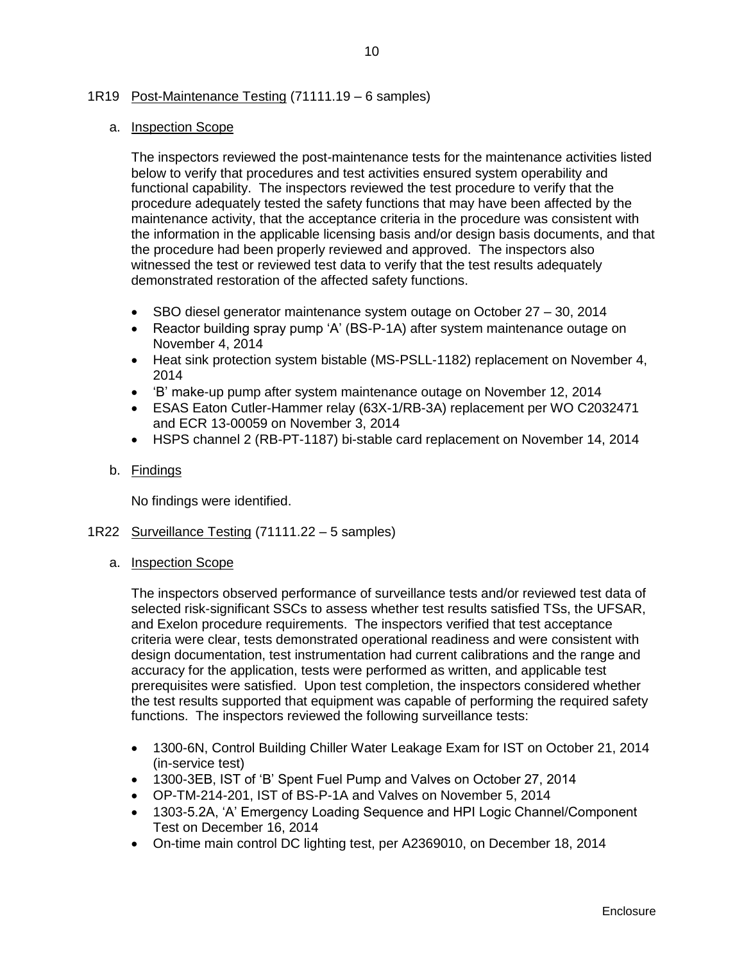## <span id="page-12-0"></span>1R19 Post-Maintenance Testing (71111.19 – 6 samples)

## a. Inspection Scope

The inspectors reviewed the post-maintenance tests for the maintenance activities listed below to verify that procedures and test activities ensured system operability and functional capability. The inspectors reviewed the test procedure to verify that the procedure adequately tested the safety functions that may have been affected by the maintenance activity, that the acceptance criteria in the procedure was consistent with the information in the applicable licensing basis and/or design basis documents, and that the procedure had been properly reviewed and approved. The inspectors also witnessed the test or reviewed test data to verify that the test results adequately demonstrated restoration of the affected safety functions.

- SBO diesel generator maintenance system outage on October 27 30, 2014
- Reactor building spray pump 'A' (BS-P-1A) after system maintenance outage on November 4, 2014
- Heat sink protection system bistable (MS-PSLL-1182) replacement on November 4, 2014
- 'B' make-up pump after system maintenance outage on November 12, 2014
- ESAS Eaton Cutler-Hammer relay (63X-1/RB-3A) replacement per WO C2032471 and ECR 13-00059 on November 3, 2014
- HSPS channel 2 (RB-PT-1187) bi-stable card replacement on November 14, 2014

## b. Findings

No findings were identified.

- <span id="page-12-1"></span>1R22 Surveillance Testing (71111.22 – 5 samples)
	- a. Inspection Scope

The inspectors observed performance of surveillance tests and/or reviewed test data of selected risk-significant SSCs to assess whether test results satisfied TSs, the UFSAR, and Exelon procedure requirements. The inspectors verified that test acceptance criteria were clear, tests demonstrated operational readiness and were consistent with design documentation, test instrumentation had current calibrations and the range and accuracy for the application, tests were performed as written, and applicable test prerequisites were satisfied. Upon test completion, the inspectors considered whether the test results supported that equipment was capable of performing the required safety functions. The inspectors reviewed the following surveillance tests:

- 1300-6N, Control Building Chiller Water Leakage Exam for IST on October 21, 2014 (in-service test)
- 1300-3EB, IST of 'B' Spent Fuel Pump and Valves on October 27, 2014
- OP-TM-214-201, IST of BS-P-1A and Valves on November 5, 2014
- 1303-5.2A, 'A' Emergency Loading Sequence and HPI Logic Channel/Component Test on December 16, 2014
- On-time main control DC lighting test, per A2369010, on December 18, 2014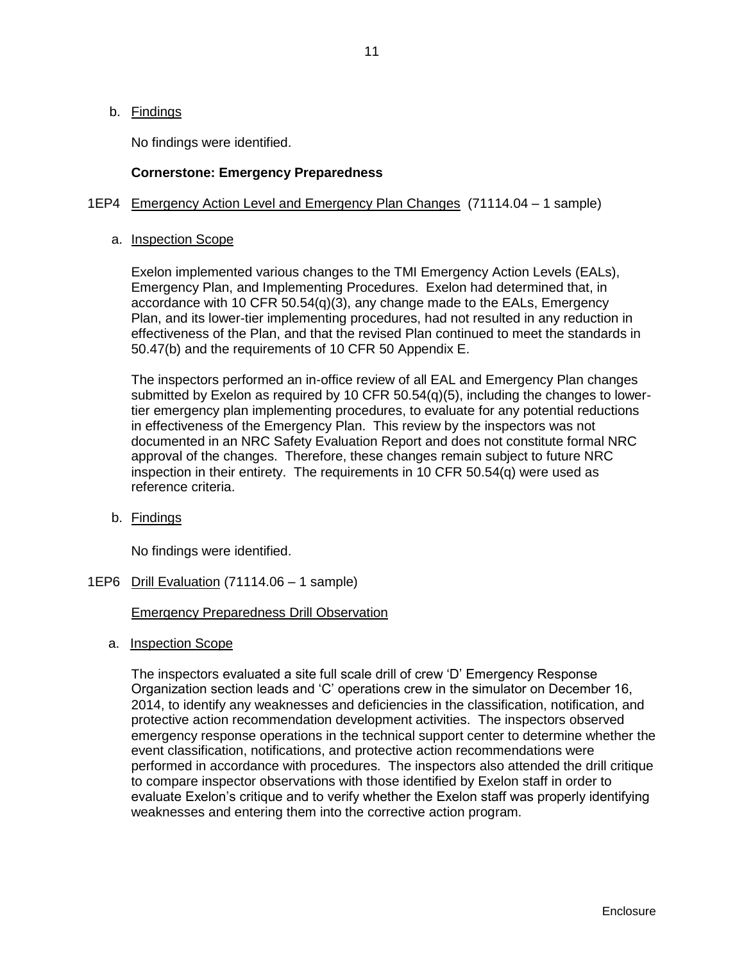b. Findings

No findings were identified.

## **Cornerstone: Emergency Preparedness**

## <span id="page-13-0"></span>1EP4 Emergency Action Level and Emergency Plan Changes (71114.04 – 1 sample)

a. Inspection Scope

Exelon implemented various changes to the TMI Emergency Action Levels (EALs), Emergency Plan, and Implementing Procedures. Exelon had determined that, in accordance with 10 CFR 50.54(q)(3), any change made to the EALs, Emergency Plan, and its lower-tier implementing procedures, had not resulted in any reduction in effectiveness of the Plan, and that the revised Plan continued to meet the standards in 50.47(b) and the requirements of 10 CFR 50 Appendix E.

The inspectors performed an in-office review of all EAL and Emergency Plan changes submitted by Exelon as required by 10 CFR  $50.54(q)(5)$ , including the changes to lowertier emergency plan implementing procedures, to evaluate for any potential reductions in effectiveness of the Emergency Plan. This review by the inspectors was not documented in an NRC Safety Evaluation Report and does not constitute formal NRC approval of the changes. Therefore, these changes remain subject to future NRC inspection in their entirety. The requirements in 10 CFR 50.54(q) were used as reference criteria.

b. Findings

No findings were identified.

<span id="page-13-1"></span>1EP6 Drill Evaluation (71114.06 – 1 sample)

## Emergency Preparedness Drill Observation

a. Inspection Scope

The inspectors evaluated a site full scale drill of crew 'D' Emergency Response Organization section leads and 'C' operations crew in the simulator on December 16, 2014, to identify any weaknesses and deficiencies in the classification, notification, and protective action recommendation development activities. The inspectors observed emergency response operations in the technical support center to determine whether the event classification, notifications, and protective action recommendations were performed in accordance with procedures. The inspectors also attended the drill critique to compare inspector observations with those identified by Exelon staff in order to evaluate Exelon's critique and to verify whether the Exelon staff was properly identifying weaknesses and entering them into the corrective action program.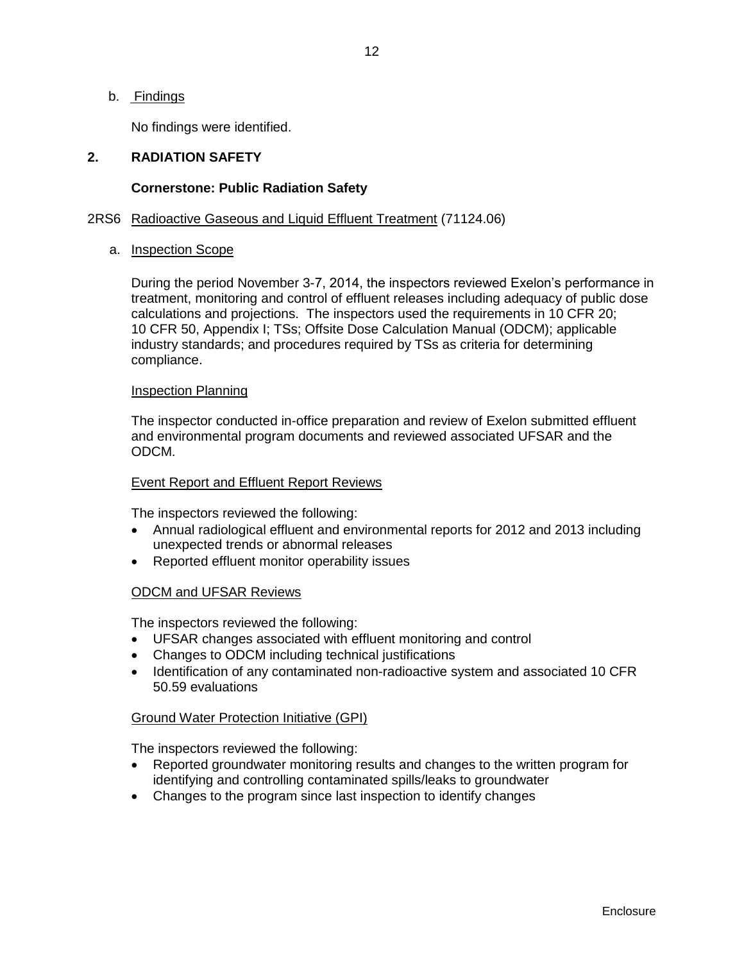12

b. Findings

No findings were identified.

#### <span id="page-14-0"></span>**2. RADIATION SAFETY**

#### **Cornerstone: Public Radiation Safety**

#### <span id="page-14-1"></span>2RS6 Radioactive Gaseous and Liquid Effluent Treatment (71124.06)

#### a. Inspection Scope

During the period November 3-7, 2014, the inspectors reviewed Exelon's performance in treatment, monitoring and control of effluent releases including adequacy of public dose calculations and projections. The inspectors used the requirements in 10 CFR 20; 10 CFR 50, Appendix I; TSs; Offsite Dose Calculation Manual (ODCM); applicable industry standards; and procedures required by TSs as criteria for determining compliance.

#### Inspection Planning

The inspector conducted in-office preparation and review of Exelon submitted effluent and environmental program documents and reviewed associated UFSAR and the ODCM.

#### Event Report and Effluent Report Reviews

The inspectors reviewed the following:

- Annual radiological effluent and environmental reports for 2012 and 2013 including unexpected trends or abnormal releases
- Reported effluent monitor operability issues

## ODCM and UFSAR Reviews

The inspectors reviewed the following:

- UFSAR changes associated with effluent monitoring and control
- Changes to ODCM including technical justifications
- Identification of any contaminated non-radioactive system and associated 10 CFR 50.59 evaluations

## Ground Water Protection Initiative (GPI)

The inspectors reviewed the following:

- Reported groundwater monitoring results and changes to the written program for identifying and controlling contaminated spills/leaks to groundwater
- Changes to the program since last inspection to identify changes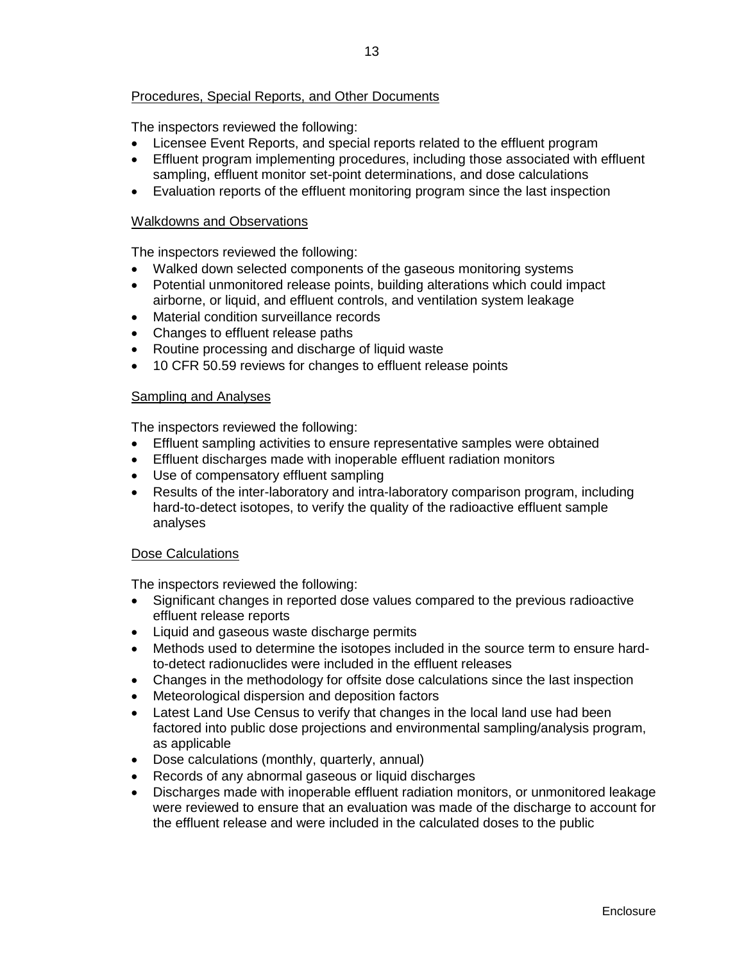## Procedures, Special Reports, and Other Documents

The inspectors reviewed the following:

- Licensee Event Reports, and special reports related to the effluent program
- Effluent program implementing procedures, including those associated with effluent sampling, effluent monitor set-point determinations, and dose calculations
- Evaluation reports of the effluent monitoring program since the last inspection

#### Walkdowns and Observations

The inspectors reviewed the following:

- Walked down selected components of the gaseous monitoring systems
- Potential unmonitored release points, building alterations which could impact airborne, or liquid, and effluent controls, and ventilation system leakage
- Material condition surveillance records
- Changes to effluent release paths
- Routine processing and discharge of liquid waste
- 10 CFR 50.59 reviews for changes to effluent release points

#### Sampling and Analyses

The inspectors reviewed the following:

- Effluent sampling activities to ensure representative samples were obtained
- Effluent discharges made with inoperable effluent radiation monitors
- Use of compensatory effluent sampling
- Results of the inter-laboratory and intra-laboratory comparison program, including hard-to-detect isotopes, to verify the quality of the radioactive effluent sample analyses

## Dose Calculations

The inspectors reviewed the following:

- Significant changes in reported dose values compared to the previous radioactive effluent release reports
- Liquid and gaseous waste discharge permits
- Methods used to determine the isotopes included in the source term to ensure hardto-detect radionuclides were included in the effluent releases
- Changes in the methodology for offsite dose calculations since the last inspection
- Meteorological dispersion and deposition factors
- Latest Land Use Census to verify that changes in the local land use had been factored into public dose projections and environmental sampling/analysis program, as applicable
- Dose calculations (monthly, quarterly, annual)
- Records of any abnormal gaseous or liquid discharges
- Discharges made with inoperable effluent radiation monitors, or unmonitored leakage were reviewed to ensure that an evaluation was made of the discharge to account for the effluent release and were included in the calculated doses to the public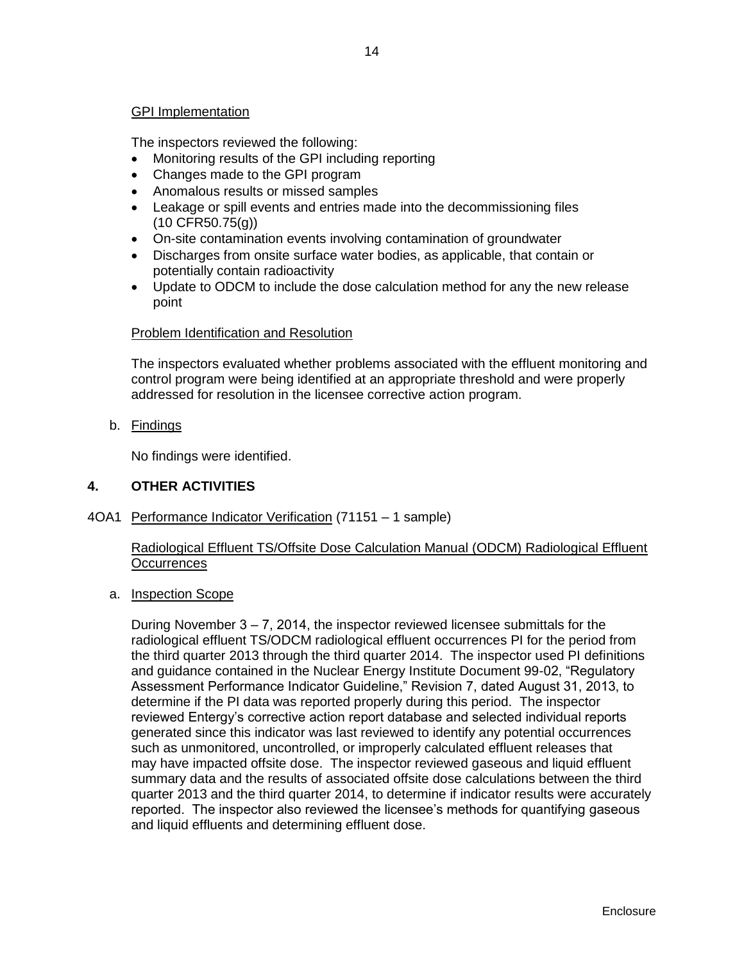## GPI Implementation

The inspectors reviewed the following:

- Monitoring results of the GPI including reporting
- Changes made to the GPI program
- Anomalous results or missed samples
- Leakage or spill events and entries made into the decommissioning files (10 CFR50.75(g))
- On-site contamination events involving contamination of groundwater
- Discharges from onsite surface water bodies, as applicable, that contain or potentially contain radioactivity
- Update to ODCM to include the dose calculation method for any the new release point

## Problem Identification and Resolution

The inspectors evaluated whether problems associated with the effluent monitoring and control program were being identified at an appropriate threshold and were properly addressed for resolution in the licensee corrective action program.

b. Findings

No findings were identified.

## <span id="page-16-0"></span>**4. OTHER ACTIVITIES**

<span id="page-16-1"></span>4OA1 Performance Indicator Verification (71151 – 1 sample)

## Radiological Effluent TS/Offsite Dose Calculation Manual (ODCM) Radiological Effluent **Occurrences**

a. Inspection Scope

During November 3 – 7, 2014, the inspector reviewed licensee submittals for the radiological effluent TS/ODCM radiological effluent occurrences PI for the period from the third quarter 2013 through the third quarter 2014. The inspector used PI definitions and guidance contained in the Nuclear Energy Institute Document 99-02, "Regulatory Assessment Performance Indicator Guideline," Revision 7, dated August 31, 2013, to determine if the PI data was reported properly during this period. The inspector reviewed Entergy's corrective action report database and selected individual reports generated since this indicator was last reviewed to identify any potential occurrences such as unmonitored, uncontrolled, or improperly calculated effluent releases that may have impacted offsite dose. The inspector reviewed gaseous and liquid effluent summary data and the results of associated offsite dose calculations between the third quarter 2013 and the third quarter 2014, to determine if indicator results were accurately reported. The inspector also reviewed the licensee's methods for quantifying gaseous and liquid effluents and determining effluent dose.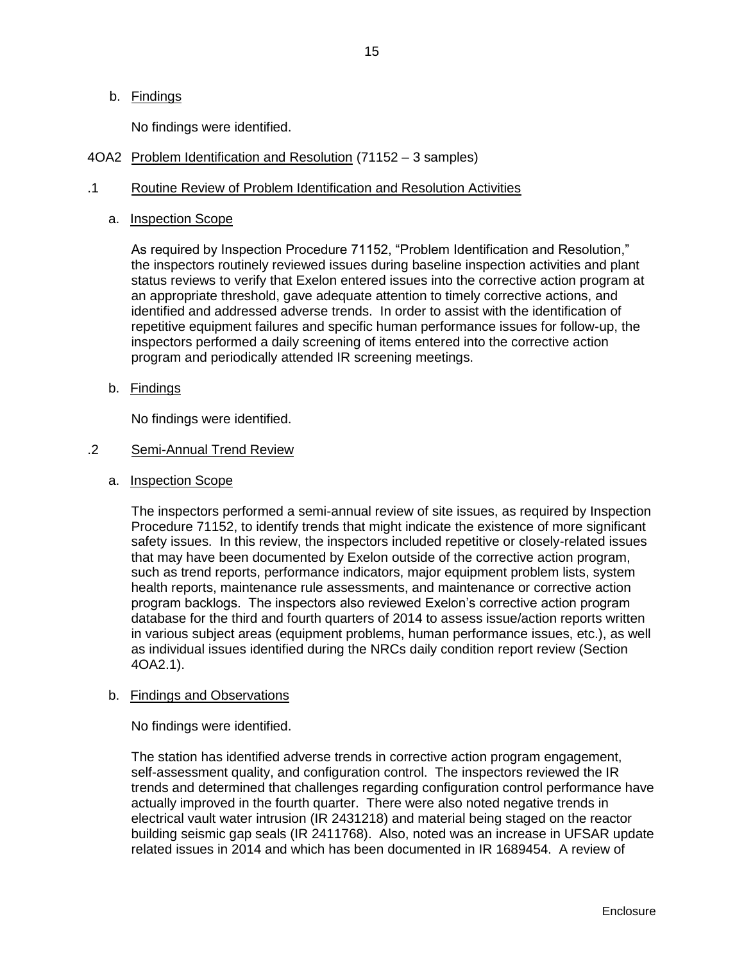## b. Findings

No findings were identified.

<span id="page-17-0"></span>4OA2 Problem Identification and Resolution (71152 – 3 samples)

## .1 Routine Review of Problem Identification and Resolution Activities

a. Inspection Scope

As required by Inspection Procedure 71152, "Problem Identification and Resolution," the inspectors routinely reviewed issues during baseline inspection activities and plant status reviews to verify that Exelon entered issues into the corrective action program at an appropriate threshold, gave adequate attention to timely corrective actions, and identified and addressed adverse trends. In order to assist with the identification of repetitive equipment failures and specific human performance issues for follow-up, the inspectors performed a daily screening of items entered into the corrective action program and periodically attended IR screening meetings.

b. Findings

No findings were identified.

#### .2 Semi-Annual Trend Review

a. Inspection Scope

The inspectors performed a semi-annual review of site issues, as required by Inspection Procedure 71152, to identify trends that might indicate the existence of more significant safety issues. In this review, the inspectors included repetitive or closely-related issues that may have been documented by Exelon outside of the corrective action program, such as trend reports, performance indicators, major equipment problem lists, system health reports, maintenance rule assessments, and maintenance or corrective action program backlogs. The inspectors also reviewed Exelon's corrective action program database for the third and fourth quarters of 2014 to assess issue/action reports written in various subject areas (equipment problems, human performance issues, etc.), as well as individual issues identified during the NRCs daily condition report review (Section 4OA2.1).

#### b. Findings and Observations

No findings were identified.

The station has identified adverse trends in corrective action program engagement, self-assessment quality, and configuration control. The inspectors reviewed the IR trends and determined that challenges regarding configuration control performance have actually improved in the fourth quarter. There were also noted negative trends in electrical vault water intrusion (IR 2431218) and material being staged on the reactor building seismic gap seals (IR 2411768). Also, noted was an increase in UFSAR update related issues in 2014 and which has been documented in IR 1689454. A review of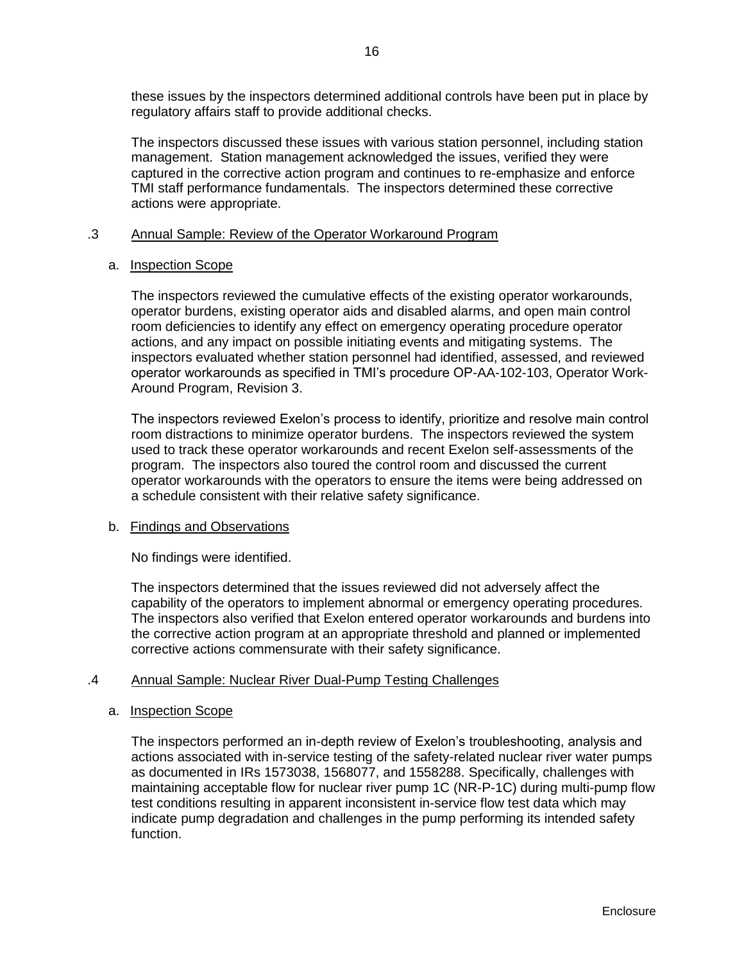these issues by the inspectors determined additional controls have been put in place by regulatory affairs staff to provide additional checks.

The inspectors discussed these issues with various station personnel, including station management. Station management acknowledged the issues, verified they were captured in the corrective action program and continues to re-emphasize and enforce TMI staff performance fundamentals. The inspectors determined these corrective actions were appropriate.

## .3 Annual Sample: Review of the Operator Workaround Program

#### a. Inspection Scope

The inspectors reviewed the cumulative effects of the existing operator workarounds, operator burdens, existing operator aids and disabled alarms, and open main control room deficiencies to identify any effect on emergency operating procedure operator actions, and any impact on possible initiating events and mitigating systems. The inspectors evaluated whether station personnel had identified, assessed, and reviewed operator workarounds as specified in TMI's procedure OP-AA-102-103, Operator Work-Around Program, Revision 3.

The inspectors reviewed Exelon's process to identify, prioritize and resolve main control room distractions to minimize operator burdens. The inspectors reviewed the system used to track these operator workarounds and recent Exelon self-assessments of the program. The inspectors also toured the control room and discussed the current operator workarounds with the operators to ensure the items were being addressed on a schedule consistent with their relative safety significance.

## b. Findings and Observations

No findings were identified.

The inspectors determined that the issues reviewed did not adversely affect the capability of the operators to implement abnormal or emergency operating procedures. The inspectors also verified that Exelon entered operator workarounds and burdens into the corrective action program at an appropriate threshold and planned or implemented corrective actions commensurate with their safety significance.

## .4 Annual Sample: Nuclear River Dual-Pump Testing Challenges

## a. Inspection Scope

The inspectors performed an in-depth review of Exelon's troubleshooting, analysis and actions associated with in-service testing of the safety-related nuclear river water pumps as documented in IRs 1573038, 1568077, and 1558288. Specifically, challenges with maintaining acceptable flow for nuclear river pump 1C (NR-P-1C) during multi-pump flow test conditions resulting in apparent inconsistent in-service flow test data which may indicate pump degradation and challenges in the pump performing its intended safety function.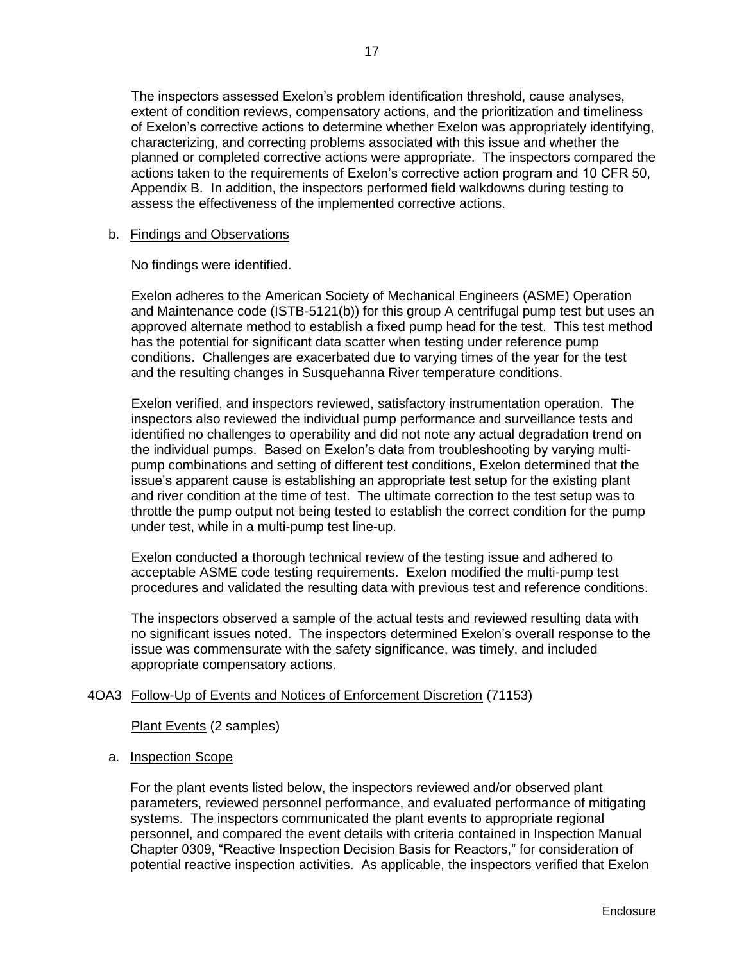The inspectors assessed Exelon's problem identification threshold, cause analyses, extent of condition reviews, compensatory actions, and the prioritization and timeliness of Exelon's corrective actions to determine whether Exelon was appropriately identifying, characterizing, and correcting problems associated with this issue and whether the planned or completed corrective actions were appropriate. The inspectors compared the actions taken to the requirements of Exelon's corrective action program and 10 CFR 50, Appendix B. In addition, the inspectors performed field walkdowns during testing to assess the effectiveness of the implemented corrective actions.

### b. Findings and Observations

No findings were identified.

Exelon adheres to the American Society of Mechanical Engineers (ASME) Operation and Maintenance code (ISTB-5121(b)) for this group A centrifugal pump test but uses an approved alternate method to establish a fixed pump head for the test. This test method has the potential for significant data scatter when testing under reference pump conditions. Challenges are exacerbated due to varying times of the year for the test and the resulting changes in Susquehanna River temperature conditions.

Exelon verified, and inspectors reviewed, satisfactory instrumentation operation. The inspectors also reviewed the individual pump performance and surveillance tests and identified no challenges to operability and did not note any actual degradation trend on the individual pumps. Based on Exelon's data from troubleshooting by varying multipump combinations and setting of different test conditions, Exelon determined that the issue's apparent cause is establishing an appropriate test setup for the existing plant and river condition at the time of test. The ultimate correction to the test setup was to throttle the pump output not being tested to establish the correct condition for the pump under test, while in a multi-pump test line-up.

Exelon conducted a thorough technical review of the testing issue and adhered to acceptable ASME code testing requirements. Exelon modified the multi-pump test procedures and validated the resulting data with previous test and reference conditions.

The inspectors observed a sample of the actual tests and reviewed resulting data with no significant issues noted. The inspectors determined Exelon's overall response to the issue was commensurate with the safety significance, was timely, and included appropriate compensatory actions.

## <span id="page-19-0"></span>4OA3 Follow-Up of Events and Notices of Enforcement Discretion (71153)

Plant Events (2 samples)

#### a. Inspection Scope

For the plant events listed below, the inspectors reviewed and/or observed plant parameters, reviewed personnel performance, and evaluated performance of mitigating systems. The inspectors communicated the plant events to appropriate regional personnel, and compared the event details with criteria contained in Inspection Manual Chapter 0309, "Reactive Inspection Decision Basis for Reactors," for consideration of potential reactive inspection activities. As applicable, the inspectors verified that Exelon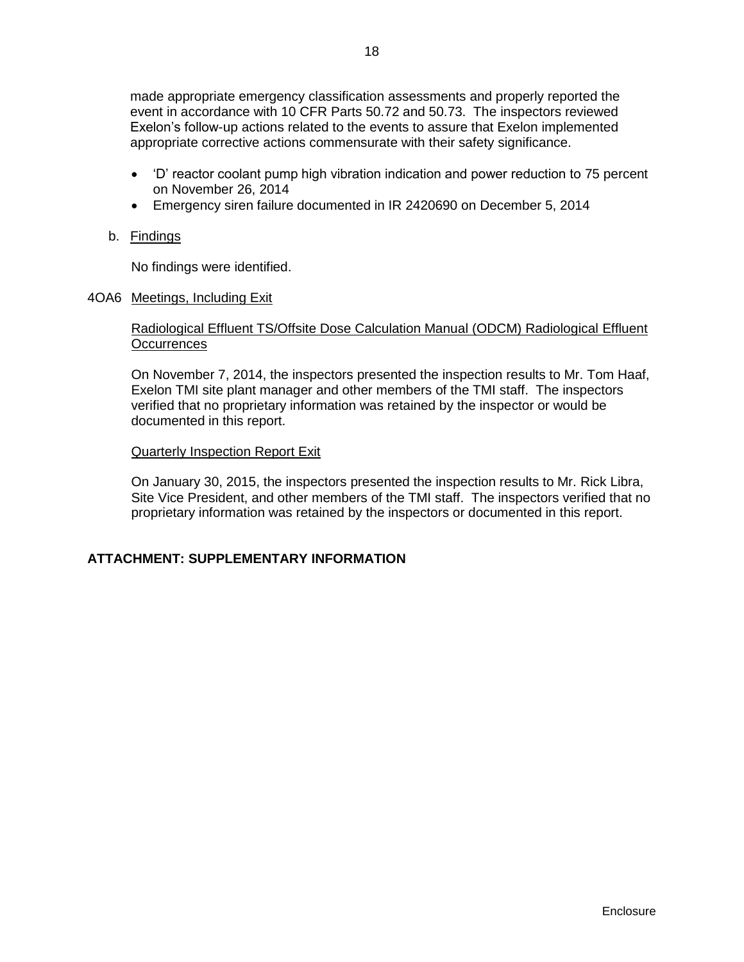made appropriate emergency classification assessments and properly reported the event in accordance with 10 CFR Parts 50.72 and 50.73. The inspectors reviewed Exelon's follow-up actions related to the events to assure that Exelon implemented appropriate corrective actions commensurate with their safety significance.

- 'D' reactor coolant pump high vibration indication and power reduction to 75 percent on November 26, 2014
- Emergency siren failure documented in IR 2420690 on December 5, 2014
- b. Findings

No findings were identified.

<span id="page-20-0"></span>4OA6 Meetings, Including Exit

## Radiological Effluent TS/Offsite Dose Calculation Manual (ODCM) Radiological Effluent **Occurrences**

On November 7, 2014, the inspectors presented the inspection results to Mr. Tom Haaf, Exelon TMI site plant manager and other members of the TMI staff. The inspectors verified that no proprietary information was retained by the inspector or would be documented in this report.

## Quarterly Inspection Report Exit

On January 30, 2015, the inspectors presented the inspection results to Mr. Rick Libra, Site Vice President, and other members of the TMI staff. The inspectors verified that no proprietary information was retained by the inspectors or documented in this report.

## <span id="page-20-1"></span>**ATTACHMENT: SUPPLEMENTARY INFORMATION**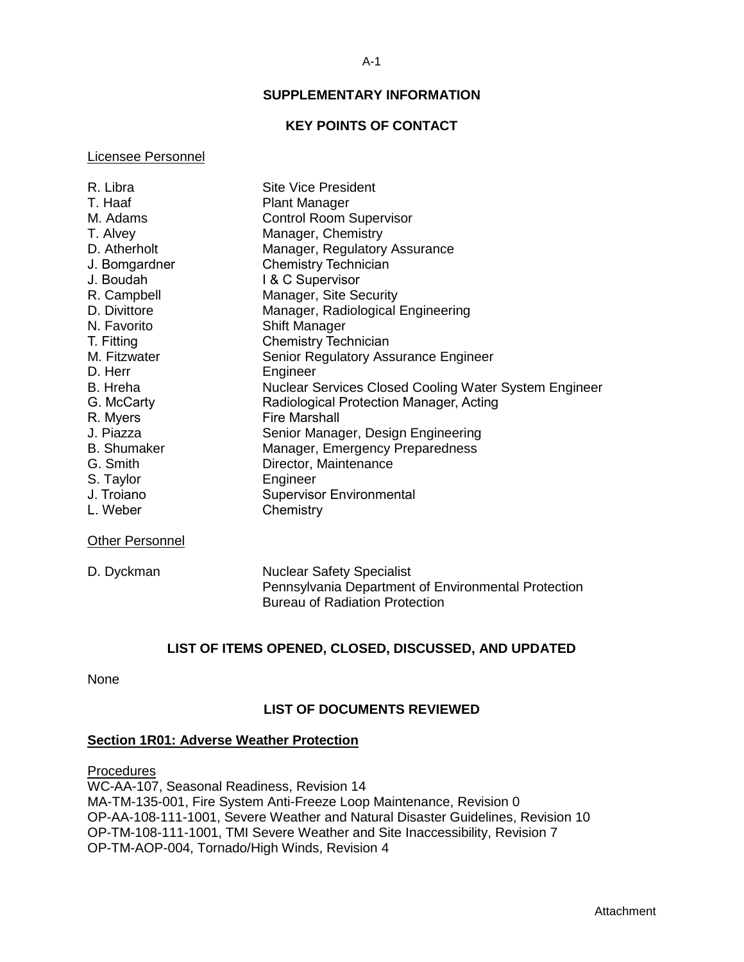## **SUPPLEMENTARY INFORMATION**

## **KEY POINTS OF CONTACT**

#### <span id="page-21-1"></span><span id="page-21-0"></span>Licensee Personnel

| R. Libra                           | <b>Site Vice President</b>                                   |
|------------------------------------|--------------------------------------------------------------|
| T. Haaf                            | <b>Plant Manager</b>                                         |
| M. Adams                           | <b>Control Room Supervisor</b>                               |
| T. Alvey                           | Manager, Chemistry                                           |
| D. Atherholt                       | Manager, Regulatory Assurance                                |
| J. Bomgardner                      | <b>Chemistry Technician</b>                                  |
| J. Boudah                          | I & C Supervisor                                             |
| R. Campbell                        | Manager, Site Security                                       |
| D. Divittore                       | Manager, Radiological Engineering                            |
| N. Favorito                        | <b>Shift Manager</b>                                         |
| T. Fitting                         | <b>Chemistry Technician</b>                                  |
| M. Fitzwater                       | Senior Regulatory Assurance Engineer                         |
| D. Herr                            | Engineer                                                     |
| B. Hreha                           | <b>Nuclear Services Closed Cooling Water System Engineer</b> |
| G. McCarty                         | Radiological Protection Manager, Acting                      |
| R. Myers                           | <b>Fire Marshall</b>                                         |
| J. Piazza                          | Senior Manager, Design Engineering                           |
| <b>B.</b> Shumaker                 | Manager, Emergency Preparedness                              |
| G. Smith                           | Director, Maintenance                                        |
| S. Taylor                          | Engineer                                                     |
| J. Troiano                         | <b>Supervisor Environmental</b>                              |
| L. Weber                           | Chemistry                                                    |
| $\sim$ $\sim$ $\sim$ $\sim$ $\sim$ |                                                              |

### **Other Personnel**

| D. Dyckman |  |
|------------|--|
|------------|--|

**Nuclear Safety Specialist** Pennsylvania Department of Environmental Protection Bureau of Radiation Protection

## **LIST OF ITEMS OPENED, CLOSED, DISCUSSED, AND UPDATED**

<span id="page-21-3"></span><span id="page-21-2"></span>None

## **LIST OF DOCUMENTS REVIEWED**

#### **Section 1R01: Adverse Weather Protection**

**Procedures** 

WC-AA-107, Seasonal Readiness, Revision 14 MA-TM-135-001, Fire System Anti-Freeze Loop Maintenance, Revision 0 OP-AA-108-111-1001, Severe Weather and Natural Disaster Guidelines, Revision 10 OP-TM-108-111-1001, TMI Severe Weather and Site Inaccessibility, Revision 7 OP-TM-AOP-004, Tornado/High Winds, Revision 4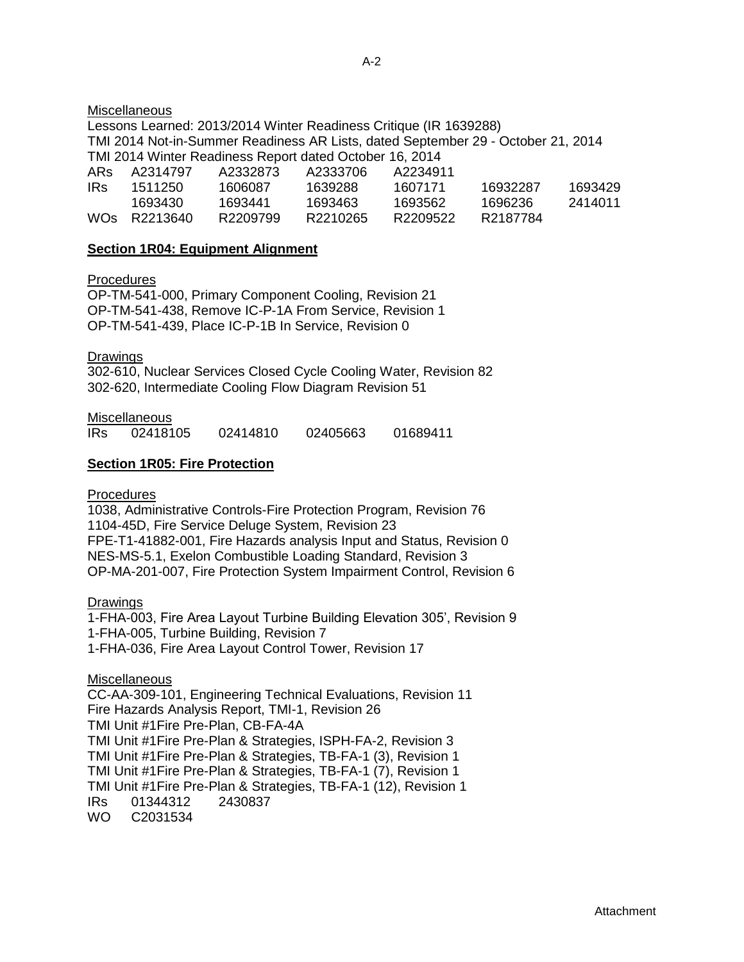### **Miscellaneous**

Lessons Learned: 2013/2014 Winter Readiness Critique (IR 1639288) TMI 2014 Not-in-Summer Readiness AR Lists, dated September 29 - October 21, 2014 TMI 2014 Winter Readiness Report dated October 16, 2014 ARs A2314797 A2332873 A2333706 A2234911 IRs 1511250 1606087 1639288 1607171 16932287 1693429 1693430 1693441 1693463 1693562 1696236 2414011

WOs R2213640 R2209799 R2210265 R2209522 R2187784

## **Section 1R04: Equipment Alignment**

**Procedures** 

OP-TM-541-000, Primary Component Cooling, Revision 21 OP-TM-541-438, Remove IC-P-1A From Service, Revision 1 OP-TM-541-439, Place IC-P-1B In Service, Revision 0

**Drawings** 

302-610, Nuclear Services Closed Cycle Cooling Water, Revision 82 302-620, Intermediate Cooling Flow Diagram Revision 51

**Miscellaneous** 

| 02405663<br>02414810<br><b>IRs</b><br>01689411<br>02418105 |
|------------------------------------------------------------|
|------------------------------------------------------------|

## **Section 1R05: Fire Protection**

**Procedures** 

1038, Administrative Controls-Fire Protection Program, Revision 76 1104-45D, Fire Service Deluge System, Revision 23 FPE-T1-41882-001, Fire Hazards analysis Input and Status, Revision 0 NES-MS-5.1, Exelon Combustible Loading Standard, Revision 3 OP-MA-201-007, Fire Protection System Impairment Control, Revision 6

Drawings

1-FHA-003, Fire Area Layout Turbine Building Elevation 305', Revision 9 1-FHA-005, Turbine Building, Revision 7 1-FHA-036, Fire Area Layout Control Tower, Revision 17

**Miscellaneous** 

CC-AA-309-101, Engineering Technical Evaluations, Revision 11 Fire Hazards Analysis Report, TMI-1, Revision 26 TMI Unit #1Fire Pre-Plan, CB-FA-4A TMI Unit #1Fire Pre-Plan & Strategies, ISPH-FA-2, Revision 3 TMI Unit #1Fire Pre-Plan & Strategies, TB-FA-1 (3), Revision 1 TMI Unit #1Fire Pre-Plan & Strategies, TB-FA-1 (7), Revision 1 TMI Unit #1Fire Pre-Plan & Strategies, TB-FA-1 (12), Revision 1 IRs 01344312 2430837 WO C2031534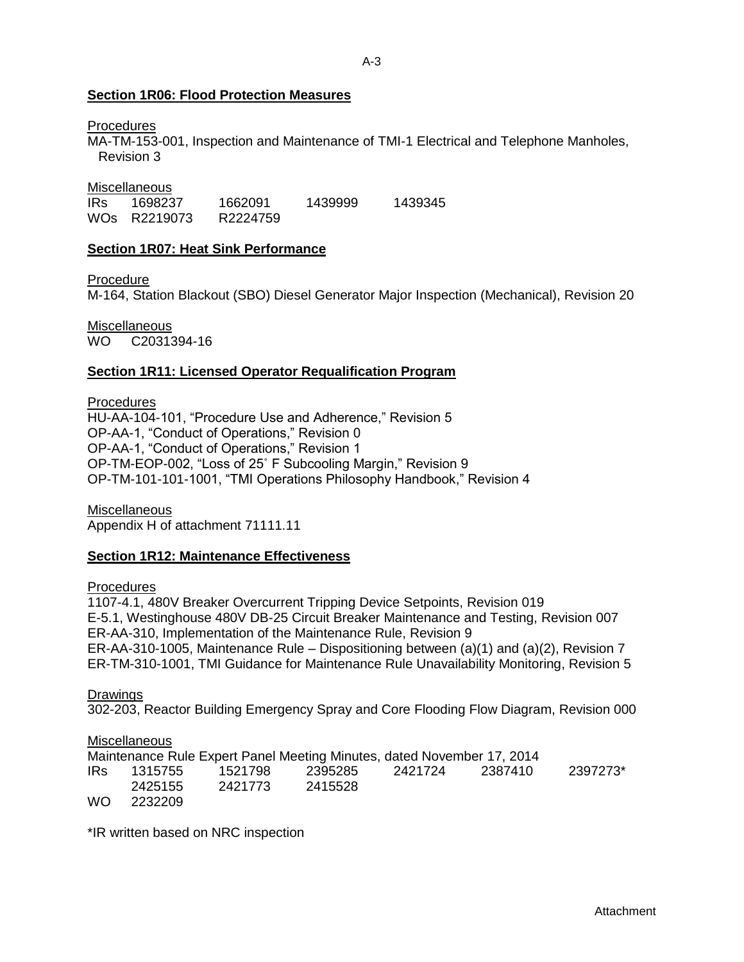## **Section 1R06: Flood Protection Measures**

### **Procedures**

MA-TM-153-001, Inspection and Maintenance of TMI-1 Electrical and Telephone Manholes, Revision 3

Miscellaneous

IRs 1698237 1662091 1439999 1439345 WOs R2219073 R2224759

## **Section 1R07: Heat Sink Performance**

Procedure

M-164, Station Blackout (SBO) Diesel Generator Major Inspection (Mechanical), Revision 20

Miscellaneous WO C2031394-16

## **Section 1R11: Licensed Operator Requalification Program**

**Procedures** 

HU-AA-104-101, "Procedure Use and Adherence," Revision 5 OP-AA-1, "Conduct of Operations," Revision 0 OP-AA-1, "Conduct of Operations," Revision 1 OP-TM-EOP-002, "Loss of 25˚ F Subcooling Margin," Revision 9 OP-TM-101-101-1001, "TMI Operations Philosophy Handbook," Revision 4

**Miscellaneous** Appendix H of attachment 71111.11

## **Section 1R12: Maintenance Effectiveness**

**Procedures** 

1107-4.1, 480V Breaker Overcurrent Tripping Device Setpoints, Revision 019 E-5.1, Westinghouse 480V DB-25 Circuit Breaker Maintenance and Testing, Revision 007 ER-AA-310, Implementation of the Maintenance Rule, Revision 9 ER-AA-310-1005, Maintenance Rule – Dispositioning between (a)(1) and (a)(2), Revision 7 ER-TM-310-1001, TMI Guidance for Maintenance Rule Unavailability Monitoring, Revision 5

**Drawings** 

302-203, Reactor Building Emergency Spray and Core Flooding Flow Diagram, Revision 000

## Miscellaneous

Maintenance Rule Expert Panel Meeting Minutes, dated November 17, 2014 IRs 1315755 1521798 2395285 2421724 2387410 2397273\* 2425155 2421773 2415528 WO 2232209

\*IR written based on NRC inspection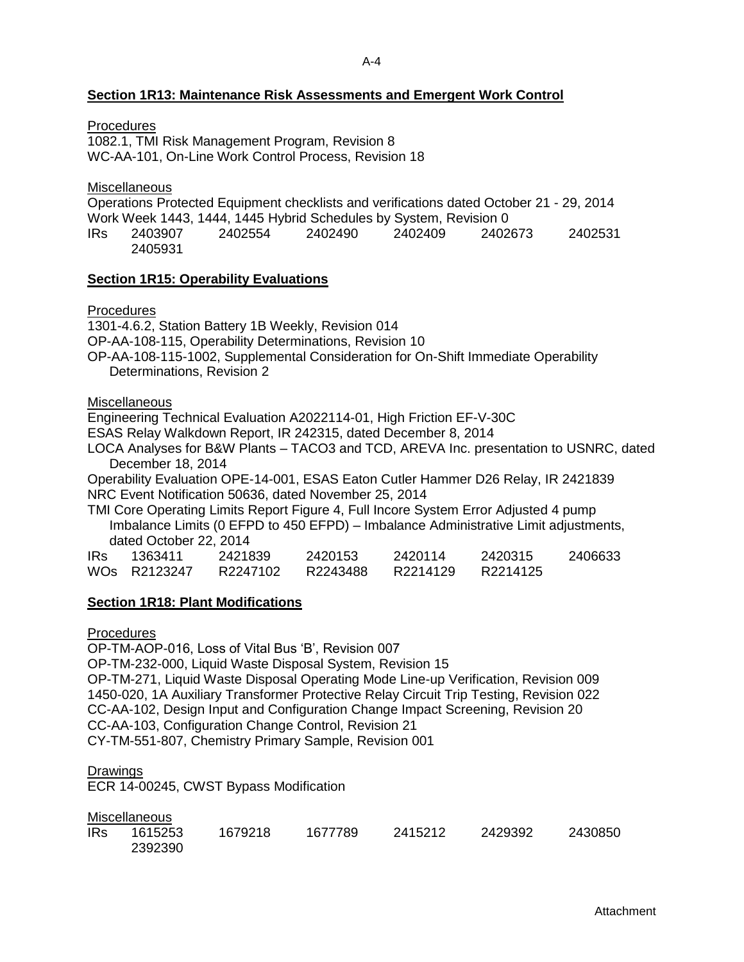#### A-4

## **Section 1R13: Maintenance Risk Assessments and Emergent Work Control**

**Procedures** 

1082.1, TMI Risk Management Program, Revision 8 WC-AA-101, On-Line Work Control Process, Revision 18

**Miscellaneous** 

Operations Protected Equipment checklists and verifications dated October 21 - 29, 2014 Work Week 1443, 1444, 1445 Hybrid Schedules by System, Revision 0 IRs 2403907 2402554 2402490 2402409 2402673 2402531 2405931

#### **Section 1R15: Operability Evaluations**

Procedures

1301-4.6.2, Station Battery 1B Weekly, Revision 014 OP-AA-108-115, Operability Determinations, Revision 10 OP-AA-108-115-1002, Supplemental Consideration for On-Shift Immediate Operability Determinations, Revision 2

**Miscellaneous** 

Engineering Technical Evaluation A2022114-01, High Friction EF-V-30C

ESAS Relay Walkdown Report, IR 242315, dated December 8, 2014

LOCA Analyses for B&W Plants – TACO3 and TCD, AREVA Inc. presentation to USNRC, dated December 18, 2014

Operability Evaluation OPE-14-001, ESAS Eaton Cutler Hammer D26 Relay, IR 2421839 NRC Event Notification 50636, dated November 25, 2014

TMI Core Operating Limits Report Figure 4, Full Incore System Error Adjusted 4 pump Imbalance Limits (0 EFPD to 450 EFPD) – Imbalance Administrative Limit adjustments, dated October 22, 2014

| <b>IRs</b> | 1363411      | 2421839  | 2420153  | 2420114  | 2420315  | 2406633 |
|------------|--------------|----------|----------|----------|----------|---------|
|            | WOS R2123247 | R2247102 | R2243488 | R2214129 | R2214125 |         |

### **Section 1R18: Plant Modifications**

**Procedures** 

OP-TM-AOP-016, Loss of Vital Bus 'B', Revision 007 OP-TM-232-000, Liquid Waste Disposal System, Revision 15 OP-TM-271, Liquid Waste Disposal Operating Mode Line-up Verification, Revision 009 1450-020, 1A Auxiliary Transformer Protective Relay Circuit Trip Testing, Revision 022 CC-AA-102, Design Input and Configuration Change Impact Screening, Revision 20 CC-AA-103, Configuration Change Control, Revision 21

CY-TM-551-807, Chemistry Primary Sample, Revision 001

**Drawings** 

ECR 14-00245, CWST Bypass Modification

**Miscellaneous** 

| <b>IRs</b> | 1615253 | 1679218 | 1677789 | 2415212 | 2429392 | 2430850 |
|------------|---------|---------|---------|---------|---------|---------|
|            | 2392390 |         |         |         |         |         |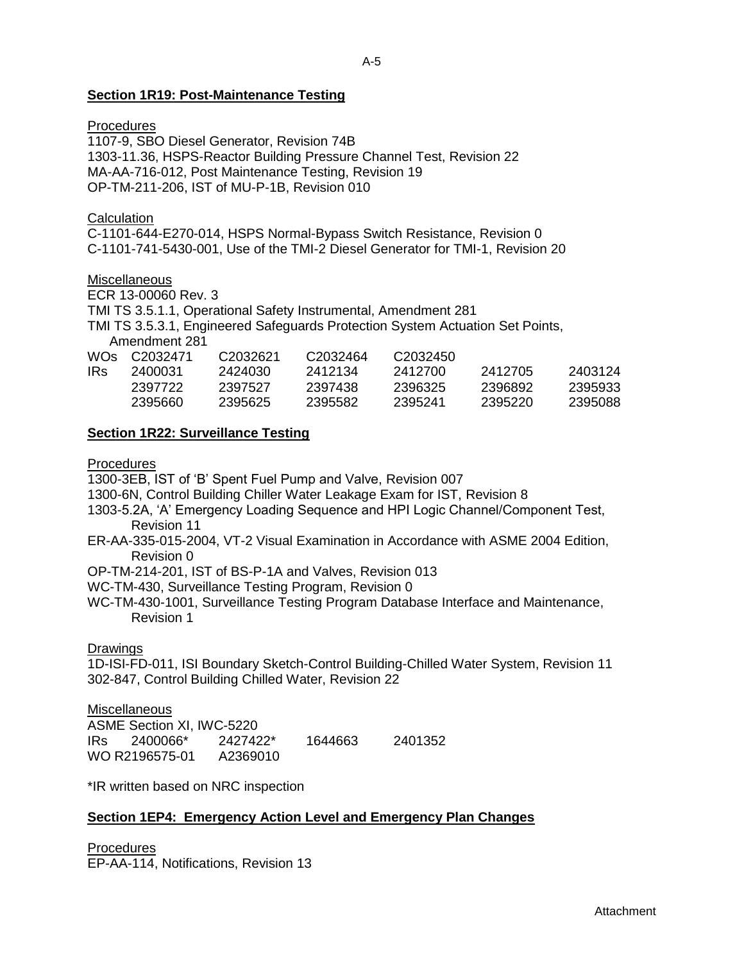## **Section 1R19: Post-Maintenance Testing**

## **Procedures**

1107-9, SBO Diesel Generator, Revision 74B 1303-11.36, HSPS-Reactor Building Pressure Channel Test, Revision 22 MA-AA-716-012, Post Maintenance Testing, Revision 19 OP-TM-211-206, IST of MU-P-1B, Revision 010

## **Calculation**

C-1101-644-E270-014, HSPS Normal-Bypass Switch Resistance, Revision 0 C-1101-741-5430-001, Use of the TMI-2 Diesel Generator for TMI-1, Revision 20

**Miscellaneous** 

ECR 13-00060 Rev. 3

TMI TS 3.5.1.1, Operational Safety Instrumental, Amendment 281

TMI TS 3.5.3.1, Engineered Safeguards Protection System Actuation Set Points,

Amendment 281

| WOs. | C2032471 | C <sub>2032621</sub> | C <sub>2032464</sub> | C <sub>2032450</sub> |         |         |
|------|----------|----------------------|----------------------|----------------------|---------|---------|
| IRs  | 2400031  | 2424030              | 2412134              | 2412700              | 2412705 | 2403124 |
|      | 2397722  | 2397527              | 2397438              | 2396325              | 2396892 | 2395933 |
|      | 2395660  | 2395625              | 2395582              | 2395241              | 2395220 | 2395088 |

## **Section 1R22: Surveillance Testing**

Procedures

1300-3EB, IST of 'B' Spent Fuel Pump and Valve, Revision 007

1300-6N, Control Building Chiller Water Leakage Exam for IST, Revision 8

- 1303-5.2A, 'A' Emergency Loading Sequence and HPI Logic Channel/Component Test, Revision 11
- ER-AA-335-015-2004, VT-2 Visual Examination in Accordance with ASME 2004 Edition, Revision 0
- OP-TM-214-201, IST of BS-P-1A and Valves, Revision 013

WC-TM-430, Surveillance Testing Program, Revision 0

WC-TM-430-1001, Surveillance Testing Program Database Interface and Maintenance, Revision 1

## **Drawings**

1D-ISI-FD-011, ISI Boundary Sketch-Control Building-Chilled Water System, Revision 11 302-847, Control Building Chilled Water, Revision 22

**Miscellaneous** ASME Section XI, IWC-5220 IRs 2400066\* 2427422\* 1644663 2401352 WO R2196575-01 A2369010

\*IR written based on NRC inspection

## **Section 1EP4: Emergency Action Level and Emergency Plan Changes**

**Procedures** EP-AA-114, Notifications, Revision 13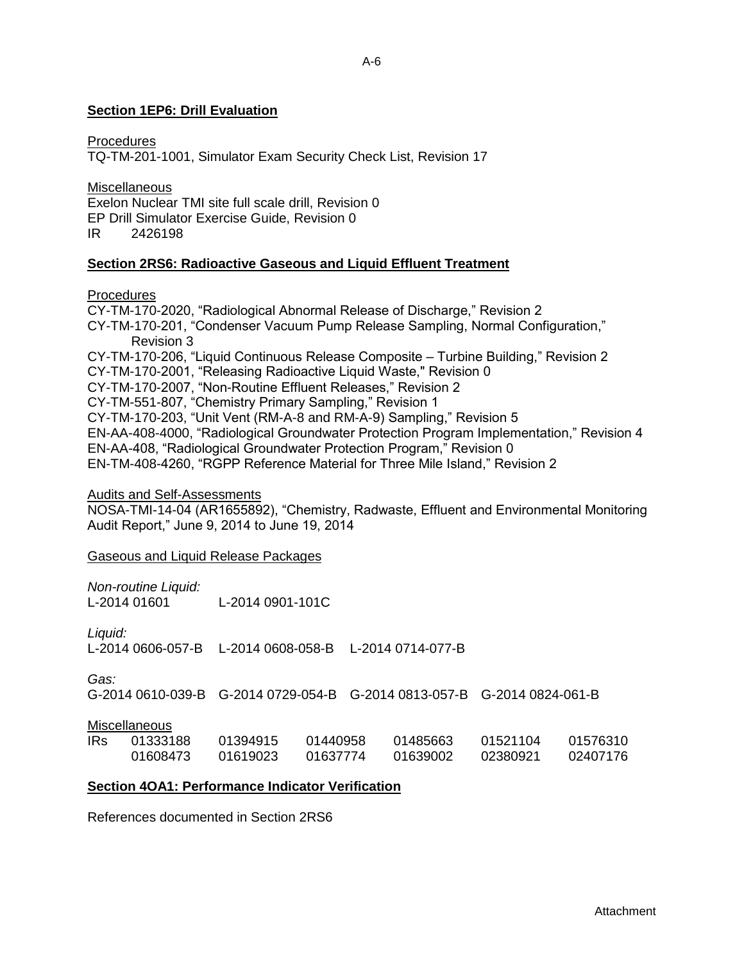## **Section 1EP6: Drill Evaluation**

**Procedures** 

TQ-TM-201-1001, Simulator Exam Security Check List, Revision 17

**Miscellaneous** Exelon Nuclear TMI site full scale drill, Revision 0 EP Drill Simulator Exercise Guide, Revision 0 IR 2426198

## **Section 2RS6: Radioactive Gaseous and Liquid Effluent Treatment**

**Procedures** 

CY-TM-170-2020, "Radiological Abnormal Release of Discharge," Revision 2 CY-TM-170-201, "Condenser Vacuum Pump Release Sampling, Normal Configuration," Revision 3 CY-TM-170-206, "Liquid Continuous Release Composite – Turbine Building," Revision 2 CY-TM-170-2001, "Releasing Radioactive Liquid Waste," Revision 0 CY-TM-170-2007, "Non-Routine Effluent Releases," Revision 2 CY-TM-551-807, "Chemistry Primary Sampling," Revision 1 CY-TM-170-203, "Unit Vent (RM-A-8 and RM-A-9) Sampling," Revision 5 EN-AA-408-4000, "Radiological Groundwater Protection Program Implementation," Revision 4 EN-AA-408, "Radiological Groundwater Protection Program," Revision 0 EN-TM-408-4260, "RGPP Reference Material for Three Mile Island," Revision 2

Audits and Self-Assessments

NOSA-TMI-14-04 (AR1655892), "Chemistry, Radwaste, Effluent and Environmental Monitoring Audit Report," June 9, 2014 to June 19, 2014

Gaseous and Liquid Release Packages

*Non-routine Liquid:* L-2014 0901-101C

*Liquid:*

L-2014 0606-057-B L-2014 0608-058-B L-2014 0714-077-B

*Gas:*

G-2014 0610-039-B G-2014 0729-054-B G-2014 0813-057-B G-2014 0824-061-B

**Miscellaneous** 

| IRs. | 01333188 | 01394915 | 01440958 | 01485663 | 01521104 | 01576310 |
|------|----------|----------|----------|----------|----------|----------|
|      | 01608473 | 01619023 | 01637774 | 01639002 | 02380921 | 02407176 |

## **Section 4OA1: Performance Indicator Verification**

References documented in Section 2RS6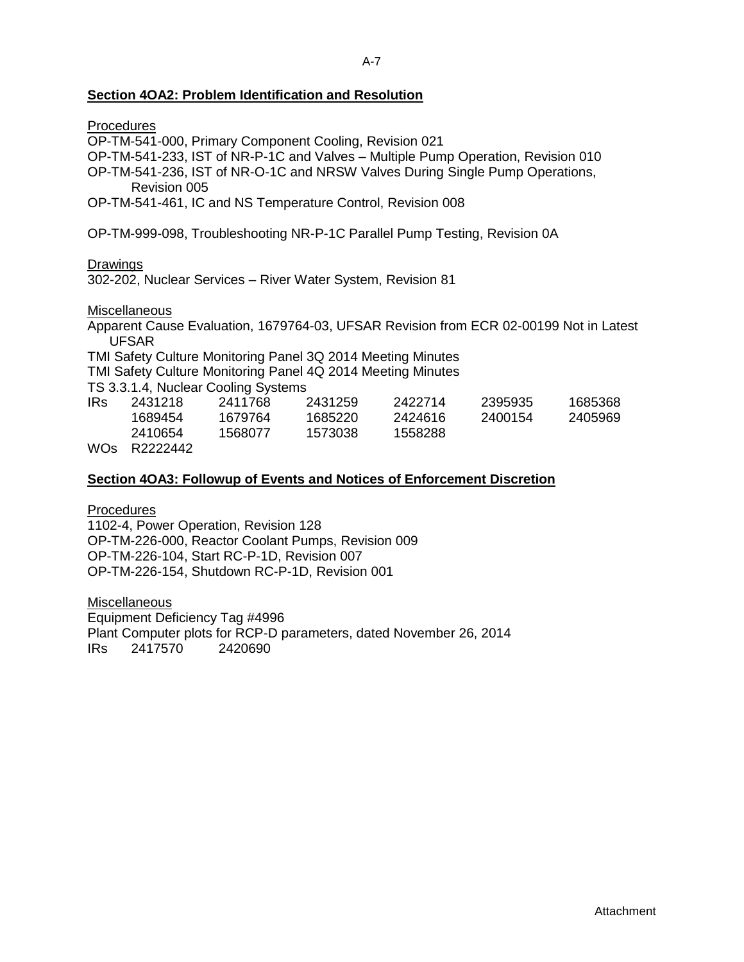## **Section 4OA2: Problem Identification and Resolution**

|          | Procedures                                                                       |                                                             |         |                                                                           |         |                                                                                       |  |
|----------|----------------------------------------------------------------------------------|-------------------------------------------------------------|---------|---------------------------------------------------------------------------|---------|---------------------------------------------------------------------------------------|--|
|          |                                                                                  | OP-TM-541-000, Primary Component Cooling, Revision 021      |         |                                                                           |         |                                                                                       |  |
|          | OP-TM-541-233, IST of NR-P-1C and Valves - Multiple Pump Operation, Revision 010 |                                                             |         |                                                                           |         |                                                                                       |  |
|          | OP-TM-541-236, IST of NR-O-1C and NRSW Valves During Single Pump Operations,     |                                                             |         |                                                                           |         |                                                                                       |  |
|          | Revision 005                                                                     |                                                             |         |                                                                           |         |                                                                                       |  |
|          | OP-TM-541-461, IC and NS Temperature Control, Revision 008                       |                                                             |         |                                                                           |         |                                                                                       |  |
|          |                                                                                  |                                                             |         |                                                                           |         |                                                                                       |  |
|          |                                                                                  |                                                             |         | OP-TM-999-098, Troubleshooting NR-P-1C Parallel Pump Testing, Revision 0A |         |                                                                                       |  |
| Drawings |                                                                                  |                                                             |         |                                                                           |         |                                                                                       |  |
|          |                                                                                  | 302-202, Nuclear Services - River Water System, Revision 81 |         |                                                                           |         |                                                                                       |  |
|          | <b>Miscellaneous</b>                                                             |                                                             |         |                                                                           |         |                                                                                       |  |
|          |                                                                                  |                                                             |         |                                                                           |         | Apparent Cause Evaluation, 1679764-03, UFSAR Revision from ECR 02-00199 Not in Latest |  |
|          | <b>UFSAR</b>                                                                     |                                                             |         |                                                                           |         |                                                                                       |  |
|          |                                                                                  |                                                             |         |                                                                           |         |                                                                                       |  |
|          |                                                                                  |                                                             |         | TMI Safety Culture Monitoring Panel 3Q 2014 Meeting Minutes               |         |                                                                                       |  |
|          |                                                                                  |                                                             |         | TMI Safety Culture Monitoring Panel 4Q 2014 Meeting Minutes               |         |                                                                                       |  |
|          |                                                                                  | TS 3.3.1.4, Nuclear Cooling Systems                         |         |                                                                           |         |                                                                                       |  |
| IRs.     | 2431218                                                                          | 2411768                                                     | 2431259 | 2422714                                                                   | 2395935 | 1685368                                                                               |  |
|          |                                                                                  | 1689454   1679764                                           | 1685220 | 2424616                                                                   | 2400154 | 2405969                                                                               |  |

| <b>IRs</b>            | 2431218     | 2411768 | 2431259 | 2422714 | 2395935 | 1685368 |
|-----------------------|-------------|---------|---------|---------|---------|---------|
|                       | 1689454     | 1679764 | 1685220 | 2424616 | 2400154 | 2405969 |
|                       | 2410654     | 1568077 | 1573038 | 1558288 |         |         |
| $\mathbf{111} \wedge$ | - 600000110 |         |         |         |         |         |

WOs R2222442

#### **Section 4OA3: Followup of Events and Notices of Enforcement Discretion**

**Procedures** 1102-4, Power Operation, Revision 128 OP-TM-226-000, Reactor Coolant Pumps, Revision 009 OP-TM-226-104, Start RC-P-1D, Revision 007 OP-TM-226-154, Shutdown RC-P-1D, Revision 001

**Miscellaneous** Equipment Deficiency Tag #4996 Plant Computer plots for RCP-D parameters, dated November 26, 2014 IRs 2417570 2420690